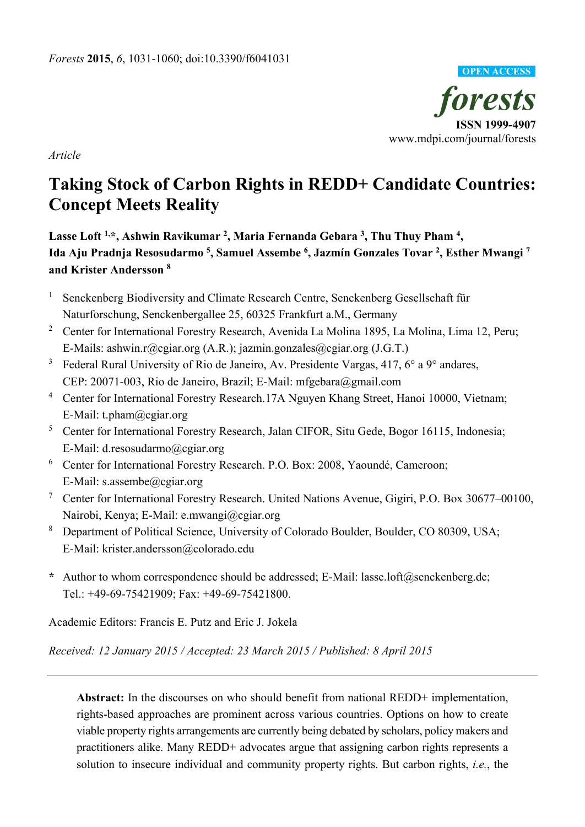

*Article*

# **Taking Stock of Carbon Rights in REDD+ Candidate Countries: Concept Meets Reality**

**Lasse Loft 1,\*, Ashwin Ravikumar 2, Maria Fernanda Gebara 3, Thu Thuy Pham 4 , Ida Aju Pradnja Resosudarmo 5, Samuel Assembe 6 , Jazmín Gonzales Tovar 2, Esther Mwangi 7 and Krister Andersson 8**

- <sup>1</sup> Senckenberg Biodiversity and Climate Research Centre, Senckenberg Gesellschaft für Naturforschung, Senckenbergallee 25, 60325 Frankfurt a.M., Germany
- <sup>2</sup> Center for International Forestry Research, Avenida La Molina 1895, La Molina, Lima 12, Peru; E-Mails: ashwin.r@cgiar.org (A.R.); jazmin.gonzales@cgiar.org (J.G.T.)
- <sup>3</sup> Federal Rural University of Rio de Janeiro, Av. Presidente Vargas, 417,  $6^{\circ}$  a  $9^{\circ}$  andares, CEP: 20071-003, Rio de Janeiro, Brazil; E-Mail: mfgebara@gmail.com
- <sup>4</sup> Center for International Forestry Research.17A Nguyen Khang Street, Hanoi 10000, Vietnam; E-Mail: t.pham@cgiar.org
- <sup>5</sup> Center for International Forestry Research, Jalan CIFOR, Situ Gede, Bogor 16115, Indonesia; E-Mail: d.resosudarmo@cgiar.org
- <sup>6</sup> Center for International Forestry Research. P.O. Box: 2008, Yaoundé, Cameroon; E-Mail: s.assembe@cgiar.org
- <sup>7</sup> Center for International Forestry Research. United Nations Avenue, Gigiri, P.O. Box 30677–00100, Nairobi, Kenya; E-Mail: e.mwangi@cgiar.org
- <sup>8</sup> Department of Political Science, University of Colorado Boulder, Boulder, CO 80309, USA; E-Mail: krister.andersson@colorado.edu
- **\*** Author to whom correspondence should be addressed; E-Mail: lasse.loft@senckenberg.de; Tel.: +49-69-75421909; Fax: +49-69-75421800.

Academic Editors: Francis E. Putz and Eric J. Jokela

*Received: 12 January 2015 / Accepted: 23 March 2015 / Published: 8 April 2015* 

**Abstract:** In the discourses on who should benefit from national REDD+ implementation, rights-based approaches are prominent across various countries. Options on how to create viable property rights arrangements are currently being debated by scholars, policy makers and practitioners alike. Many REDD+ advocates argue that assigning carbon rights represents a solution to insecure individual and community property rights. But carbon rights, *i.e.*, the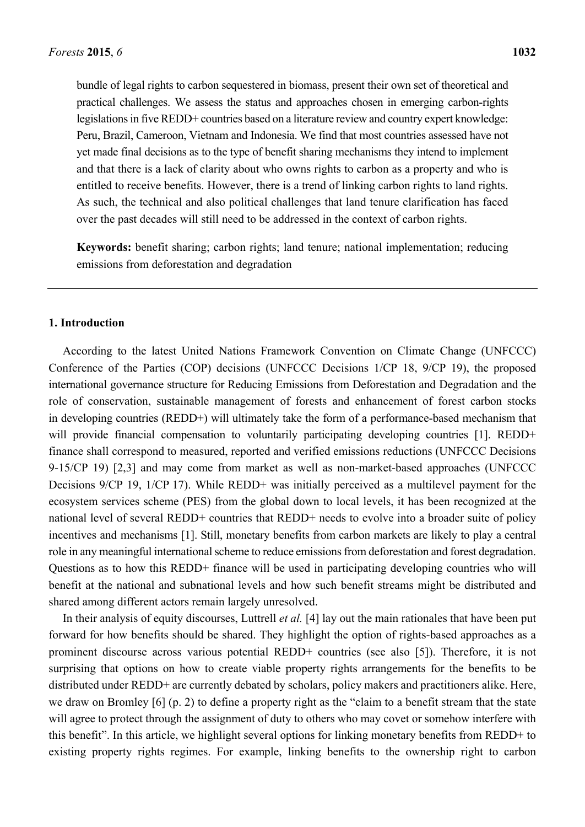bundle of legal rights to carbon sequestered in biomass, present their own set of theoretical and practical challenges. We assess the status and approaches chosen in emerging carbon-rights legislations in five REDD+ countries based on a literature review and country expert knowledge: Peru, Brazil, Cameroon, Vietnam and Indonesia. We find that most countries assessed have not yet made final decisions as to the type of benefit sharing mechanisms they intend to implement and that there is a lack of clarity about who owns rights to carbon as a property and who is entitled to receive benefits. However, there is a trend of linking carbon rights to land rights. As such, the technical and also political challenges that land tenure clarification has faced over the past decades will still need to be addressed in the context of carbon rights.

**Keywords:** benefit sharing; carbon rights; land tenure; national implementation; reducing emissions from deforestation and degradation

#### **1. Introduction**

According to the latest United Nations Framework Convention on Climate Change (UNFCCC) Conference of the Parties (COP) decisions (UNFCCC Decisions 1/CP 18, 9/CP 19), the proposed international governance structure for Reducing Emissions from Deforestation and Degradation and the role of conservation, sustainable management of forests and enhancement of forest carbon stocks in developing countries (REDD+) will ultimately take the form of a performance-based mechanism that will provide financial compensation to voluntarily participating developing countries [1]. REDD+ finance shall correspond to measured, reported and verified emissions reductions (UNFCCC Decisions 9-15/CP 19) [2,3] and may come from market as well as non-market-based approaches (UNFCCC Decisions 9/CP 19, 1/CP 17). While REDD+ was initially perceived as a multilevel payment for the ecosystem services scheme (PES) from the global down to local levels, it has been recognized at the national level of several REDD+ countries that REDD+ needs to evolve into a broader suite of policy incentives and mechanisms [1]. Still, monetary benefits from carbon markets are likely to play a central role in any meaningful international scheme to reduce emissions from deforestation and forest degradation. Questions as to how this REDD+ finance will be used in participating developing countries who will benefit at the national and subnational levels and how such benefit streams might be distributed and shared among different actors remain largely unresolved.

In their analysis of equity discourses, Luttrell *et al.* [4] lay out the main rationales that have been put forward for how benefits should be shared. They highlight the option of rights-based approaches as a prominent discourse across various potential REDD+ countries (see also [5]). Therefore, it is not surprising that options on how to create viable property rights arrangements for the benefits to be distributed under REDD+ are currently debated by scholars, policy makers and practitioners alike. Here, we draw on Bromley [6] (p. 2) to define a property right as the "claim to a benefit stream that the state will agree to protect through the assignment of duty to others who may covet or somehow interfere with this benefit". In this article, we highlight several options for linking monetary benefits from REDD+ to existing property rights regimes. For example, linking benefits to the ownership right to carbon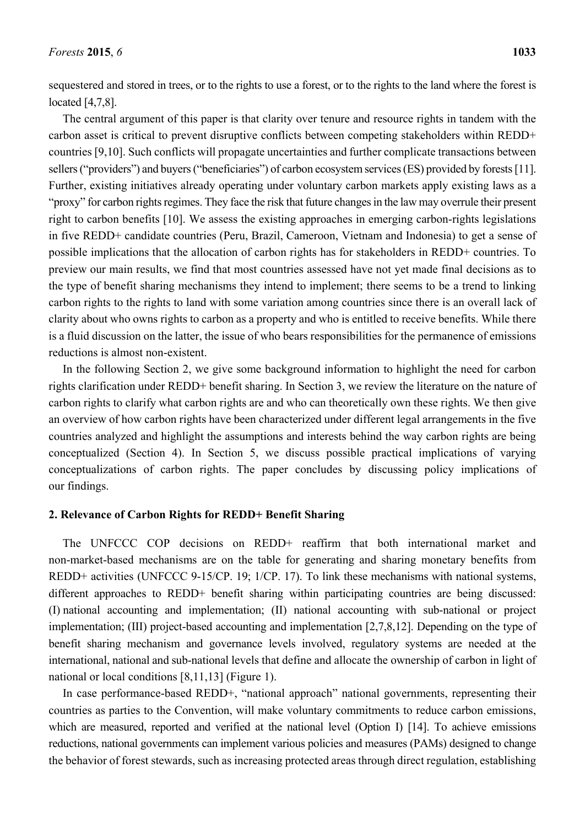sequestered and stored in trees, or to the rights to use a forest, or to the rights to the land where the forest is located [4,7,8].

The central argument of this paper is that clarity over tenure and resource rights in tandem with the carbon asset is critical to prevent disruptive conflicts between competing stakeholders within REDD+ countries [9,10]. Such conflicts will propagate uncertainties and further complicate transactions between sellers ("providers") and buyers ("beneficiaries") of carbon ecosystem services (ES) provided by forests [11]. Further, existing initiatives already operating under voluntary carbon markets apply existing laws as a "proxy" for carbon rights regimes. They face the risk that future changes in the law may overrule their present right to carbon benefits [10]. We assess the existing approaches in emerging carbon-rights legislations in five REDD+ candidate countries (Peru, Brazil, Cameroon, Vietnam and Indonesia) to get a sense of possible implications that the allocation of carbon rights has for stakeholders in REDD+ countries. To preview our main results, we find that most countries assessed have not yet made final decisions as to the type of benefit sharing mechanisms they intend to implement; there seems to be a trend to linking carbon rights to the rights to land with some variation among countries since there is an overall lack of clarity about who owns rights to carbon as a property and who is entitled to receive benefits. While there is a fluid discussion on the latter, the issue of who bears responsibilities for the permanence of emissions reductions is almost non-existent.

In the following Section 2, we give some background information to highlight the need for carbon rights clarification under REDD+ benefit sharing. In Section 3, we review the literature on the nature of carbon rights to clarify what carbon rights are and who can theoretically own these rights. We then give an overview of how carbon rights have been characterized under different legal arrangements in the five countries analyzed and highlight the assumptions and interests behind the way carbon rights are being conceptualized (Section 4). In Section 5, we discuss possible practical implications of varying conceptualizations of carbon rights. The paper concludes by discussing policy implications of our findings.

# **2. Relevance of Carbon Rights for REDD+ Benefit Sharing**

The UNFCCC COP decisions on REDD+ reaffirm that both international market and non-market-based mechanisms are on the table for generating and sharing monetary benefits from REDD+ activities (UNFCCC 9-15/CP. 19; 1/CP. 17). To link these mechanisms with national systems, different approaches to REDD+ benefit sharing within participating countries are being discussed: (I) national accounting and implementation; (II) national accounting with sub-national or project implementation; (III) project-based accounting and implementation [2,7,8,12]. Depending on the type of benefit sharing mechanism and governance levels involved, regulatory systems are needed at the international, national and sub-national levels that define and allocate the ownership of carbon in light of national or local conditions [8,11,13] (Figure 1).

In case performance-based REDD+, "national approach" national governments, representing their countries as parties to the Convention, will make voluntary commitments to reduce carbon emissions, which are measured, reported and verified at the national level (Option I) [14]. To achieve emissions reductions, national governments can implement various policies and measures (PAMs) designed to change the behavior of forest stewards, such as increasing protected areas through direct regulation, establishing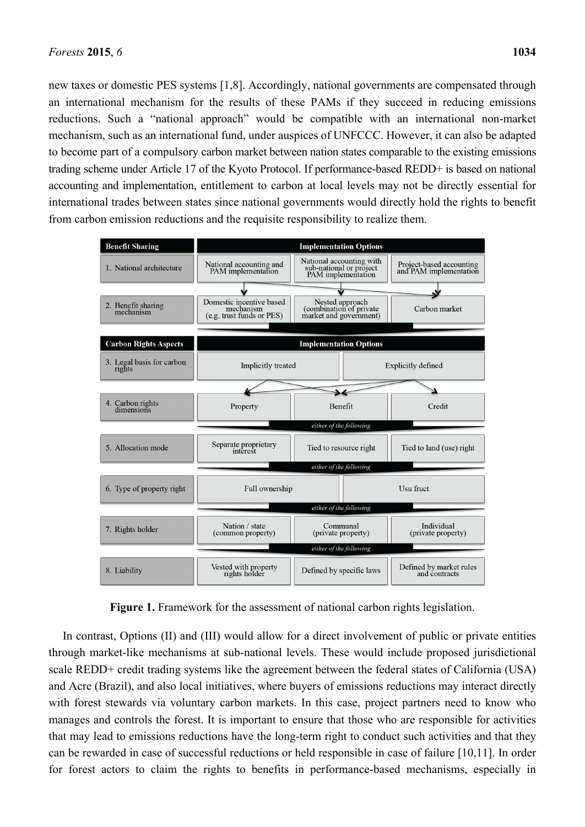new taxes or domestic PES systems [1,8]. Accordingly, national governments are compensated through an international mechanism for the results of these PAMs if they succeed in reducing emissions reductions. Such a "national approach" would be compatible with an international non-market mechanism, such as an international fund, under auspices of UNFCCC. However, it can also be adapted to become part of a compulsory carbon market between nation states comparable to the existing emissions trading scheme under Article 17 of the Kyoto Protocol. If performance-based REDD+ is based on national accounting and implementation, entitlement to carbon at local levels may not be directly essential for international trades between states since national governments would directly hold the rights to benefit from carbon emission reductions and the requisite responsibility to realize them.



**Figure 1.** Framework for the assessment of national carbon rights legislation.

In contrast, Options (II) and (III) would allow for a direct involvement of public or private entities through market-like mechanisms at sub-national levels. These would include proposed jurisdictional scale REDD+ credit trading systems like the agreement between the federal states of California (USA) and Acre (Brazil), and also local initiatives, where buyers of emissions reductions may interact directly with forest stewards via voluntary carbon markets. In this case, project partners need to know who manages and controls the forest. It is important to ensure that those who are responsible for activities that may lead to emissions reductions have the long-term right to conduct such activities and that they can be rewarded in case of successful reductions or held responsible in case of failure [10,11]. In order for forest actors to claim the rights to benefits in performance-based mechanisms, especially in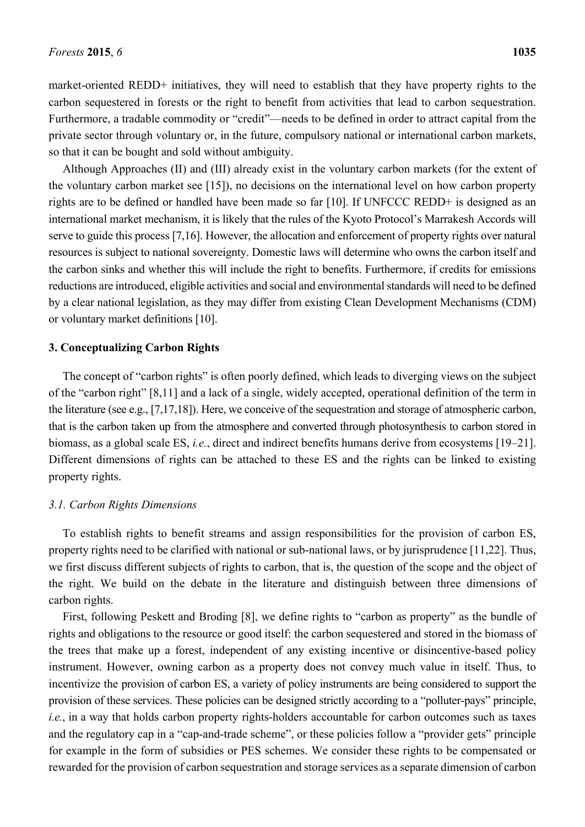market-oriented REDD+ initiatives, they will need to establish that they have property rights to the carbon sequestered in forests or the right to benefit from activities that lead to carbon sequestration. Furthermore, a tradable commodity or "credit"—needs to be defined in order to attract capital from the private sector through voluntary or, in the future, compulsory national or international carbon markets, so that it can be bought and sold without ambiguity.

Although Approaches (II) and (III) already exist in the voluntary carbon markets (for the extent of the voluntary carbon market see [15]), no decisions on the international level on how carbon property rights are to be defined or handled have been made so far [10]. If UNFCCC REDD+ is designed as an international market mechanism, it is likely that the rules of the Kyoto Protocol's Marrakesh Accords will serve to guide this process [7,16]. However, the allocation and enforcement of property rights over natural resources is subject to national sovereignty. Domestic laws will determine who owns the carbon itself and the carbon sinks and whether this will include the right to benefits. Furthermore, if credits for emissions reductions are introduced, eligible activities and social and environmental standards will need to be defined by a clear national legislation, as they may differ from existing Clean Development Mechanisms (CDM) or voluntary market definitions [10].

# **3. Conceptualizing Carbon Rights**

The concept of "carbon rights" is often poorly defined, which leads to diverging views on the subject of the "carbon right" [8,11] and a lack of a single, widely accepted, operational definition of the term in the literature (see e.g., [7,17,18]). Here, we conceive of the sequestration and storage of atmospheric carbon, that is the carbon taken up from the atmosphere and converted through photosynthesis to carbon stored in biomass, as a global scale ES, *i.e.*, direct and indirect benefits humans derive from ecosystems [19–21]. Different dimensions of rights can be attached to these ES and the rights can be linked to existing property rights.

#### *3.1. Carbon Rights Dimensions*

To establish rights to benefit streams and assign responsibilities for the provision of carbon ES, property rights need to be clarified with national or sub-national laws, or by jurisprudence [11,22]. Thus, we first discuss different subjects of rights to carbon, that is, the question of the scope and the object of the right. We build on the debate in the literature and distinguish between three dimensions of carbon rights.

First, following Peskett and Broding [8], we define rights to "carbon as property" as the bundle of rights and obligations to the resource or good itself: the carbon sequestered and stored in the biomass of the trees that make up a forest, independent of any existing incentive or disincentive-based policy instrument. However, owning carbon as a property does not convey much value in itself. Thus, to incentivize the provision of carbon ES, a variety of policy instruments are being considered to support the provision of these services. These policies can be designed strictly according to a "polluter-pays" principle, *i.e.*, in a way that holds carbon property rights-holders accountable for carbon outcomes such as taxes and the regulatory cap in a "cap-and-trade scheme", or these policies follow a "provider gets" principle for example in the form of subsidies or PES schemes. We consider these rights to be compensated or rewarded for the provision of carbon sequestration and storage services as a separate dimension of carbon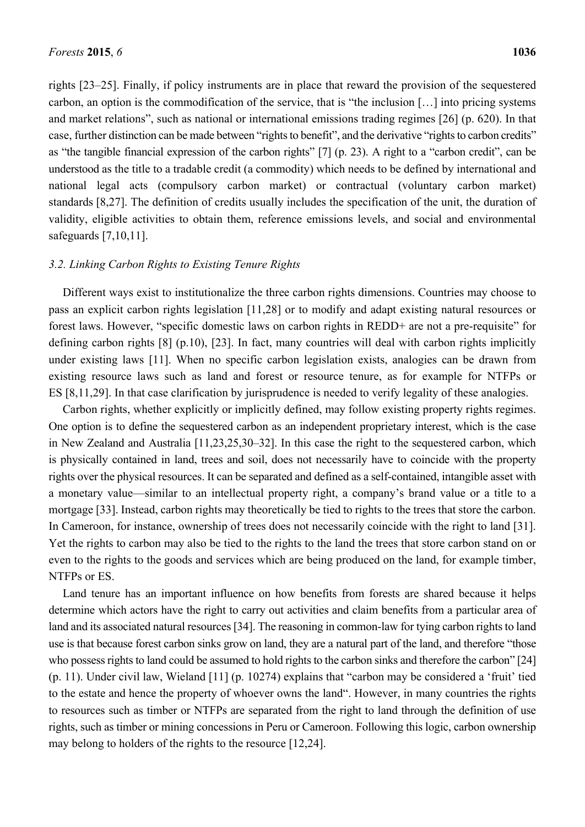rights [23–25]. Finally, if policy instruments are in place that reward the provision of the sequestered carbon, an option is the commodification of the service, that is "the inclusion […] into pricing systems and market relations", such as national or international emissions trading regimes [26] (p. 620). In that case, further distinction can be made between "rights to benefit", and the derivative "rights to carbon credits" as "the tangible financial expression of the carbon rights" [7] (p. 23). A right to a "carbon credit", can be understood as the title to a tradable credit (a commodity) which needs to be defined by international and national legal acts (compulsory carbon market) or contractual (voluntary carbon market) standards [8,27]. The definition of credits usually includes the specification of the unit, the duration of validity, eligible activities to obtain them, reference emissions levels, and social and environmental safeguards [7,10,11].

#### *3.2. Linking Carbon Rights to Existing Tenure Rights*

Different ways exist to institutionalize the three carbon rights dimensions. Countries may choose to pass an explicit carbon rights legislation [11,28] or to modify and adapt existing natural resources or forest laws. However, "specific domestic laws on carbon rights in REDD+ are not a pre-requisite" for defining carbon rights [8] (p.10), [23]. In fact, many countries will deal with carbon rights implicitly under existing laws [11]. When no specific carbon legislation exists, analogies can be drawn from existing resource laws such as land and forest or resource tenure, as for example for NTFPs or ES [8,11,29]. In that case clarification by jurisprudence is needed to verify legality of these analogies.

Carbon rights, whether explicitly or implicitly defined, may follow existing property rights regimes. One option is to define the sequestered carbon as an independent proprietary interest, which is the case in New Zealand and Australia [11,23,25,30–32]. In this case the right to the sequestered carbon, which is physically contained in land, trees and soil, does not necessarily have to coincide with the property rights over the physical resources. It can be separated and defined as a self-contained, intangible asset with a monetary value—similar to an intellectual property right, a company's brand value or a title to a mortgage [33]. Instead, carbon rights may theoretically be tied to rights to the trees that store the carbon. In Cameroon, for instance, ownership of trees does not necessarily coincide with the right to land [31]. Yet the rights to carbon may also be tied to the rights to the land the trees that store carbon stand on or even to the rights to the goods and services which are being produced on the land, for example timber, NTFPs or ES.

Land tenure has an important influence on how benefits from forests are shared because it helps determine which actors have the right to carry out activities and claim benefits from a particular area of land and its associated natural resources [34]. The reasoning in common-law for tying carbon rights to land use is that because forest carbon sinks grow on land, they are a natural part of the land, and therefore "those who possess rights to land could be assumed to hold rights to the carbon sinks and therefore the carbon" [24] (p. 11). Under civil law, Wieland [11] (p. 10274) explains that "carbon may be considered a 'fruit' tied to the estate and hence the property of whoever owns the land". However, in many countries the rights to resources such as timber or NTFPs are separated from the right to land through the definition of use rights, such as timber or mining concessions in Peru or Cameroon. Following this logic, carbon ownership may belong to holders of the rights to the resource [12,24].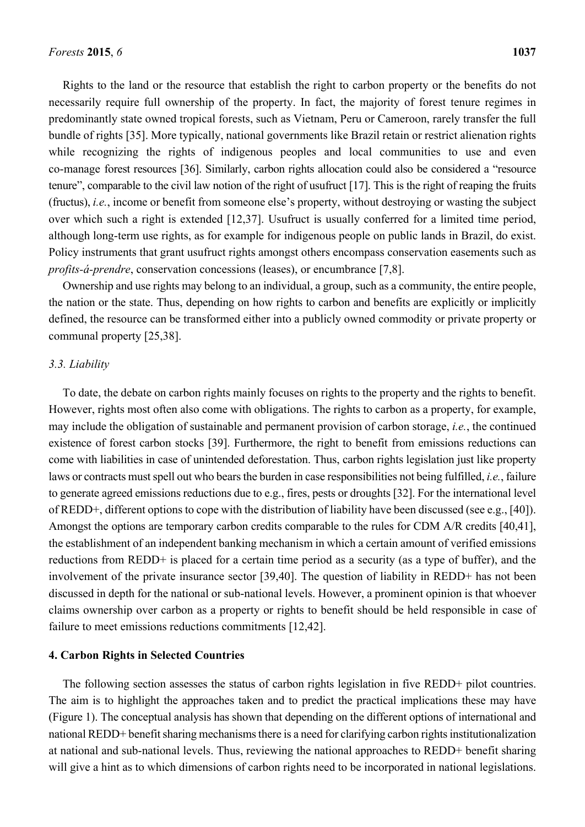Rights to the land or the resource that establish the right to carbon property or the benefits do not necessarily require full ownership of the property. In fact, the majority of forest tenure regimes in predominantly state owned tropical forests, such as Vietnam, Peru or Cameroon, rarely transfer the full bundle of rights [35]. More typically, national governments like Brazil retain or restrict alienation rights while recognizing the rights of indigenous peoples and local communities to use and even co-manage forest resources [36]. Similarly, carbon rights allocation could also be considered a "resource tenure", comparable to the civil law notion of the right of usufruct [17]. This is the right of reaping the fruits (fructus), *i.e.*, income or benefit from someone else's property, without destroying or wasting the subject over which such a right is extended [12,37]. Usufruct is usually conferred for a limited time period, although long-term use rights, as for example for indigenous people on public lands in Brazil, do exist. Policy instruments that grant usufruct rights amongst others encompass conservation easements such as *profits-á-prendre*, conservation concessions (leases), or encumbrance [7,8].

Ownership and use rights may belong to an individual, a group, such as a community, the entire people, the nation or the state. Thus, depending on how rights to carbon and benefits are explicitly or implicitly defined, the resource can be transformed either into a publicly owned commodity or private property or communal property [25,38].

#### *3.3. Liability*

To date, the debate on carbon rights mainly focuses on rights to the property and the rights to benefit. However, rights most often also come with obligations. The rights to carbon as a property, for example, may include the obligation of sustainable and permanent provision of carbon storage, *i.e.*, the continued existence of forest carbon stocks [39]. Furthermore, the right to benefit from emissions reductions can come with liabilities in case of unintended deforestation. Thus, carbon rights legislation just like property laws or contracts must spell out who bears the burden in case responsibilities not being fulfilled, *i.e.*, failure to generate agreed emissions reductions due to e.g., fires, pests or droughts [32]. For the international level of REDD+, different options to cope with the distribution of liability have been discussed (see e.g., [40]). Amongst the options are temporary carbon credits comparable to the rules for CDM A/R credits [40,41], the establishment of an independent banking mechanism in which a certain amount of verified emissions reductions from REDD+ is placed for a certain time period as a security (as a type of buffer), and the involvement of the private insurance sector [39,40]. The question of liability in REDD+ has not been discussed in depth for the national or sub-national levels. However, a prominent opinion is that whoever claims ownership over carbon as a property or rights to benefit should be held responsible in case of failure to meet emissions reductions commitments [12,42].

#### **4. Carbon Rights in Selected Countries**

The following section assesses the status of carbon rights legislation in five REDD+ pilot countries. The aim is to highlight the approaches taken and to predict the practical implications these may have (Figure 1). The conceptual analysis has shown that depending on the different options of international and national REDD+ benefit sharing mechanisms there is a need for clarifying carbon rights institutionalization at national and sub-national levels. Thus, reviewing the national approaches to REDD+ benefit sharing will give a hint as to which dimensions of carbon rights need to be incorporated in national legislations.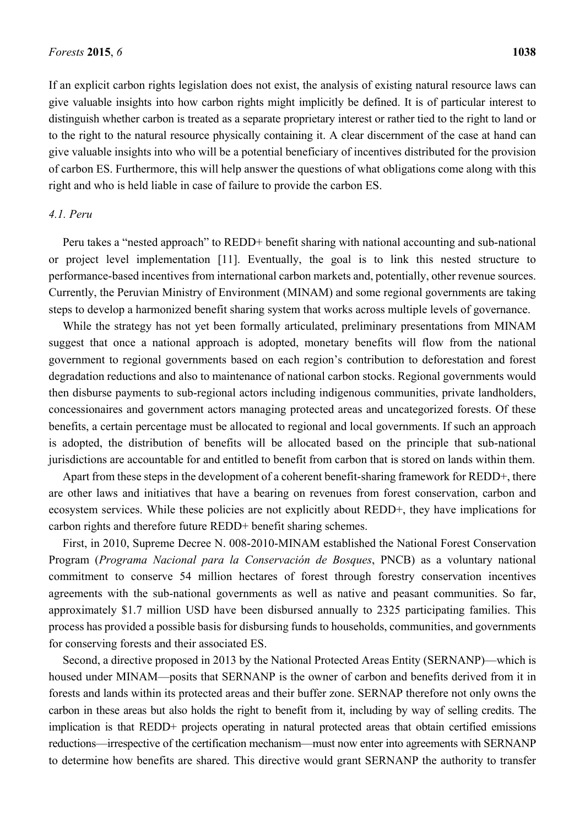If an explicit carbon rights legislation does not exist, the analysis of existing natural resource laws can give valuable insights into how carbon rights might implicitly be defined. It is of particular interest to distinguish whether carbon is treated as a separate proprietary interest or rather tied to the right to land or to the right to the natural resource physically containing it. A clear discernment of the case at hand can give valuable insights into who will be a potential beneficiary of incentives distributed for the provision of carbon ES. Furthermore, this will help answer the questions of what obligations come along with this right and who is held liable in case of failure to provide the carbon ES.

#### *4.1. Peru*

Peru takes a "nested approach" to REDD+ benefit sharing with national accounting and sub-national or project level implementation [11]. Eventually, the goal is to link this nested structure to performance-based incentives from international carbon markets and, potentially, other revenue sources. Currently, the Peruvian Ministry of Environment (MINAM) and some regional governments are taking steps to develop a harmonized benefit sharing system that works across multiple levels of governance.

While the strategy has not yet been formally articulated, preliminary presentations from MINAM suggest that once a national approach is adopted, monetary benefits will flow from the national government to regional governments based on each region's contribution to deforestation and forest degradation reductions and also to maintenance of national carbon stocks. Regional governments would then disburse payments to sub-regional actors including indigenous communities, private landholders, concessionaires and government actors managing protected areas and uncategorized forests. Of these benefits, a certain percentage must be allocated to regional and local governments. If such an approach is adopted, the distribution of benefits will be allocated based on the principle that sub-national jurisdictions are accountable for and entitled to benefit from carbon that is stored on lands within them.

Apart from these steps in the development of a coherent benefit-sharing framework for REDD+, there are other laws and initiatives that have a bearing on revenues from forest conservation, carbon and ecosystem services. While these policies are not explicitly about REDD+, they have implications for carbon rights and therefore future REDD+ benefit sharing schemes.

First, in 2010, Supreme Decree N. 008-2010-MINAM established the National Forest Conservation Program (*Programa Nacional para la Conservación de Bosques*, PNCB) as a voluntary national commitment to conserve 54 million hectares of forest through forestry conservation incentives agreements with the sub-national governments as well as native and peasant communities. So far, approximately \$1.7 million USD have been disbursed annually to 2325 participating families. This process has provided a possible basis for disbursing funds to households, communities, and governments for conserving forests and their associated ES.

Second, a directive proposed in 2013 by the National Protected Areas Entity (SERNANP)—which is housed under MINAM—posits that SERNANP is the owner of carbon and benefits derived from it in forests and lands within its protected areas and their buffer zone. SERNAP therefore not only owns the carbon in these areas but also holds the right to benefit from it, including by way of selling credits. The implication is that REDD+ projects operating in natural protected areas that obtain certified emissions reductions—irrespective of the certification mechanism—must now enter into agreements with SERNANP to determine how benefits are shared. This directive would grant SERNANP the authority to transfer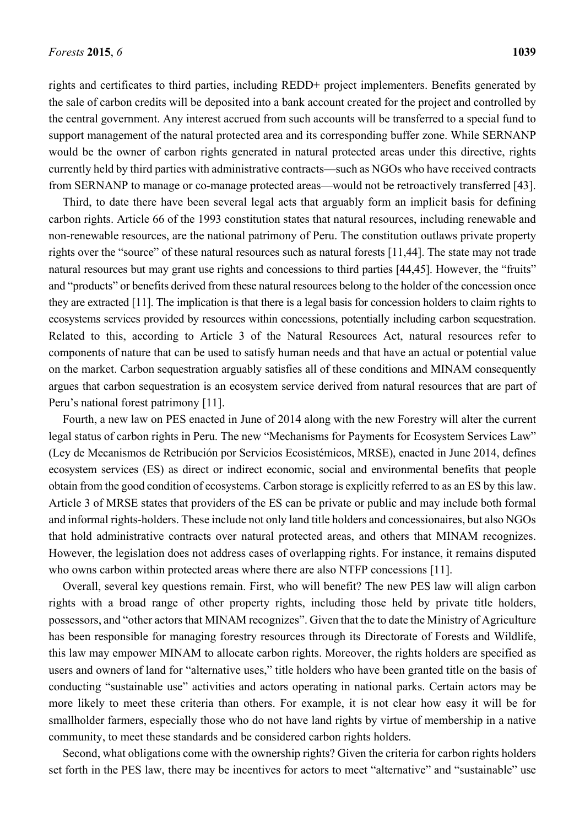rights and certificates to third parties, including REDD+ project implementers. Benefits generated by the sale of carbon credits will be deposited into a bank account created for the project and controlled by the central government. Any interest accrued from such accounts will be transferred to a special fund to support management of the natural protected area and its corresponding buffer zone. While SERNANP would be the owner of carbon rights generated in natural protected areas under this directive, rights currently held by third parties with administrative contracts—such as NGOs who have received contracts from SERNANP to manage or co-manage protected areas—would not be retroactively transferred [43].

Third, to date there have been several legal acts that arguably form an implicit basis for defining carbon rights. Article 66 of the 1993 constitution states that natural resources, including renewable and non-renewable resources, are the national patrimony of Peru. The constitution outlaws private property rights over the "source" of these natural resources such as natural forests [11,44]. The state may not trade natural resources but may grant use rights and concessions to third parties [44,45]. However, the "fruits" and "products" or benefits derived from these natural resources belong to the holder of the concession once they are extracted [11]. The implication is that there is a legal basis for concession holders to claim rights to ecosystems services provided by resources within concessions, potentially including carbon sequestration. Related to this, according to Article 3 of the Natural Resources Act, natural resources refer to components of nature that can be used to satisfy human needs and that have an actual or potential value on the market. Carbon sequestration arguably satisfies all of these conditions and MINAM consequently argues that carbon sequestration is an ecosystem service derived from natural resources that are part of Peru's national forest patrimony [11].

Fourth, a new law on PES enacted in June of 2014 along with the new Forestry will alter the current legal status of carbon rights in Peru. The new "Mechanisms for Payments for Ecosystem Services Law" (Ley de Mecanismos de Retribución por Servicios Ecosistémicos, MRSE), enacted in June 2014, defines ecosystem services (ES) as direct or indirect economic, social and environmental benefits that people obtain from the good condition of ecosystems. Carbon storage is explicitly referred to as an ES by this law. Article 3 of MRSE states that providers of the ES can be private or public and may include both formal and informal rights-holders. These include not only land title holders and concessionaires, but also NGOs that hold administrative contracts over natural protected areas, and others that MINAM recognizes. However, the legislation does not address cases of overlapping rights. For instance, it remains disputed who owns carbon within protected areas where there are also NTFP concessions [11].

Overall, several key questions remain. First, who will benefit? The new PES law will align carbon rights with a broad range of other property rights, including those held by private title holders, possessors, and "other actors that MINAM recognizes". Given that the to date the Ministry of Agriculture has been responsible for managing forestry resources through its Directorate of Forests and Wildlife, this law may empower MINAM to allocate carbon rights. Moreover, the rights holders are specified as users and owners of land for "alternative uses," title holders who have been granted title on the basis of conducting "sustainable use" activities and actors operating in national parks. Certain actors may be more likely to meet these criteria than others. For example, it is not clear how easy it will be for smallholder farmers, especially those who do not have land rights by virtue of membership in a native community, to meet these standards and be considered carbon rights holders.

Second, what obligations come with the ownership rights? Given the criteria for carbon rights holders set forth in the PES law, there may be incentives for actors to meet "alternative" and "sustainable" use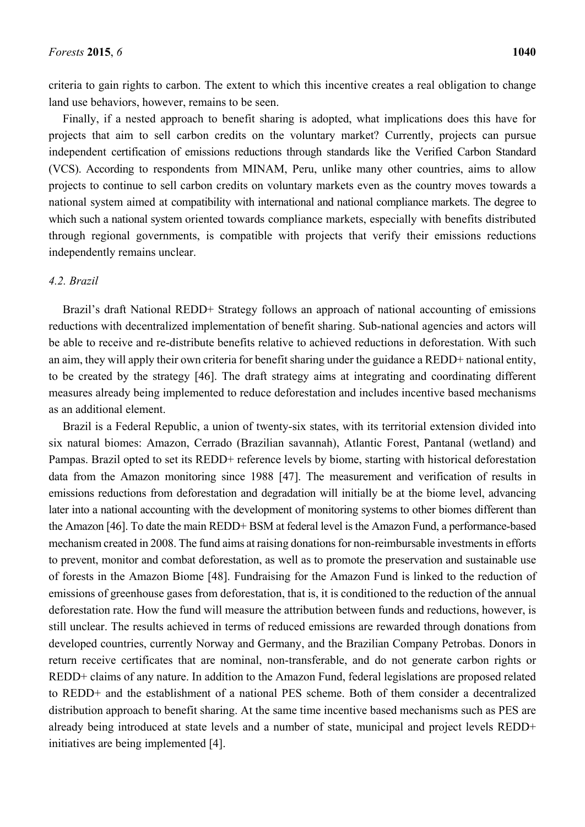criteria to gain rights to carbon. The extent to which this incentive creates a real obligation to change land use behaviors, however, remains to be seen.

Finally, if a nested approach to benefit sharing is adopted, what implications does this have for projects that aim to sell carbon credits on the voluntary market? Currently, projects can pursue independent certification of emissions reductions through standards like the Verified Carbon Standard (VCS). According to respondents from MINAM, Peru, unlike many other countries, aims to allow projects to continue to sell carbon credits on voluntary markets even as the country moves towards a national system aimed at compatibility with international and national compliance markets. The degree to which such a national system oriented towards compliance markets, especially with benefits distributed through regional governments, is compatible with projects that verify their emissions reductions independently remains unclear.

#### *4.2. Brazil*

Brazil's draft National REDD+ Strategy follows an approach of national accounting of emissions reductions with decentralized implementation of benefit sharing. Sub-national agencies and actors will be able to receive and re-distribute benefits relative to achieved reductions in deforestation. With such an aim, they will apply their own criteria for benefit sharing under the guidance a REDD+ national entity, to be created by the strategy [46]. The draft strategy aims at integrating and coordinating different measures already being implemented to reduce deforestation and includes incentive based mechanisms as an additional element.

Brazil is a Federal Republic, a union of twenty-six states, with its territorial extension divided into six natural biomes: Amazon, Cerrado (Brazilian savannah), Atlantic Forest, Pantanal (wetland) and Pampas. Brazil opted to set its REDD+ reference levels by biome, starting with historical deforestation data from the Amazon monitoring since 1988 [47]. The measurement and verification of results in emissions reductions from deforestation and degradation will initially be at the biome level, advancing later into a national accounting with the development of monitoring systems to other biomes different than the Amazon [46]. To date the main REDD+ BSM at federal level is the Amazon Fund, a performance-based mechanism created in 2008. The fund aims at raising donations for non-reimbursable investments in efforts to prevent, monitor and combat deforestation, as well as to promote the preservation and sustainable use of forests in the Amazon Biome [48]. Fundraising for the Amazon Fund is linked to the reduction of emissions of greenhouse gases from deforestation, that is, it is conditioned to the reduction of the annual deforestation rate. How the fund will measure the attribution between funds and reductions, however, is still unclear. The results achieved in terms of reduced emissions are rewarded through donations from developed countries, currently Norway and Germany, and the Brazilian Company Petrobas. Donors in return receive certificates that are nominal, non-transferable, and do not generate carbon rights or REDD+ claims of any nature. In addition to the Amazon Fund, federal legislations are proposed related to REDD+ and the establishment of a national PES scheme. Both of them consider a decentralized distribution approach to benefit sharing. At the same time incentive based mechanisms such as PES are already being introduced at state levels and a number of state, municipal and project levels REDD+ initiatives are being implemented [4].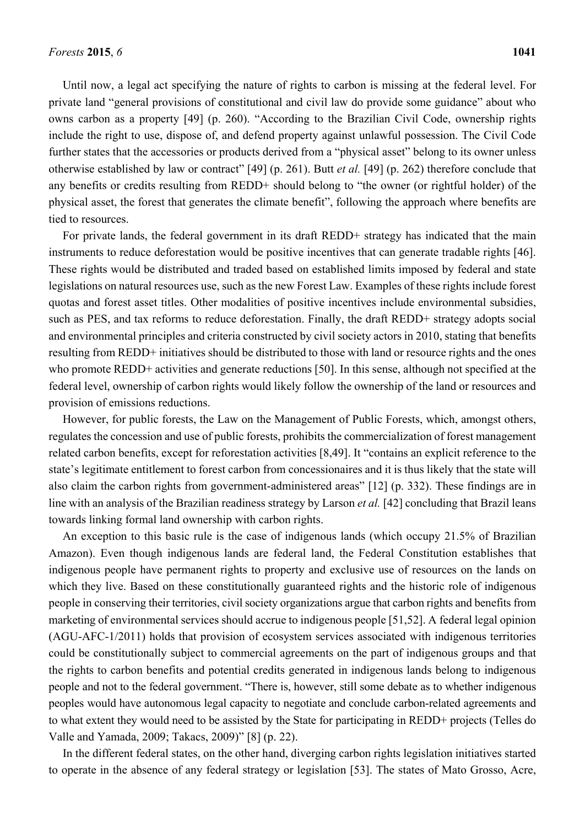Until now, a legal act specifying the nature of rights to carbon is missing at the federal level. For private land "general provisions of constitutional and civil law do provide some guidance" about who owns carbon as a property [49] (p. 260). "According to the Brazilian Civil Code, ownership rights include the right to use, dispose of, and defend property against unlawful possession. The Civil Code further states that the accessories or products derived from a "physical asset" belong to its owner unless otherwise established by law or contract" [49] (p. 261). Butt *et al.* [49] (p. 262) therefore conclude that any benefits or credits resulting from REDD+ should belong to "the owner (or rightful holder) of the physical asset, the forest that generates the climate benefit", following the approach where benefits are tied to resources.

For private lands, the federal government in its draft REDD+ strategy has indicated that the main instruments to reduce deforestation would be positive incentives that can generate tradable rights [46]. These rights would be distributed and traded based on established limits imposed by federal and state legislations on natural resources use, such as the new Forest Law. Examples of these rights include forest quotas and forest asset titles. Other modalities of positive incentives include environmental subsidies, such as PES, and tax reforms to reduce deforestation. Finally, the draft REDD+ strategy adopts social and environmental principles and criteria constructed by civil society actors in 2010, stating that benefits resulting from REDD+ initiatives should be distributed to those with land or resource rights and the ones who promote REDD+ activities and generate reductions [50]. In this sense, although not specified at the federal level, ownership of carbon rights would likely follow the ownership of the land or resources and provision of emissions reductions.

However, for public forests, the Law on the Management of Public Forests, which, amongst others, regulates the concession and use of public forests, prohibits the commercialization of forest management related carbon benefits, except for reforestation activities [8,49]. It "contains an explicit reference to the state's legitimate entitlement to forest carbon from concessionaires and it is thus likely that the state will also claim the carbon rights from government-administered areas" [12] (p. 332). These findings are in line with an analysis of the Brazilian readiness strategy by Larson *et al.* [42] concluding that Brazil leans towards linking formal land ownership with carbon rights.

An exception to this basic rule is the case of indigenous lands (which occupy 21.5% of Brazilian Amazon). Even though indigenous lands are federal land, the Federal Constitution establishes that indigenous people have permanent rights to property and exclusive use of resources on the lands on which they live. Based on these constitutionally guaranteed rights and the historic role of indigenous people in conserving their territories, civil society organizations argue that carbon rights and benefits from marketing of environmental services should accrue to indigenous people [51,52]. A federal legal opinion (AGU-AFC-1/2011) holds that provision of ecosystem services associated with indigenous territories could be constitutionally subject to commercial agreements on the part of indigenous groups and that the rights to carbon benefits and potential credits generated in indigenous lands belong to indigenous people and not to the federal government. "There is, however, still some debate as to whether indigenous peoples would have autonomous legal capacity to negotiate and conclude carbon-related agreements and to what extent they would need to be assisted by the State for participating in REDD+ projects (Telles do Valle and Yamada, 2009; Takacs, 2009)" [8] (p. 22).

In the different federal states, on the other hand, diverging carbon rights legislation initiatives started to operate in the absence of any federal strategy or legislation [53]. The states of Mato Grosso, Acre,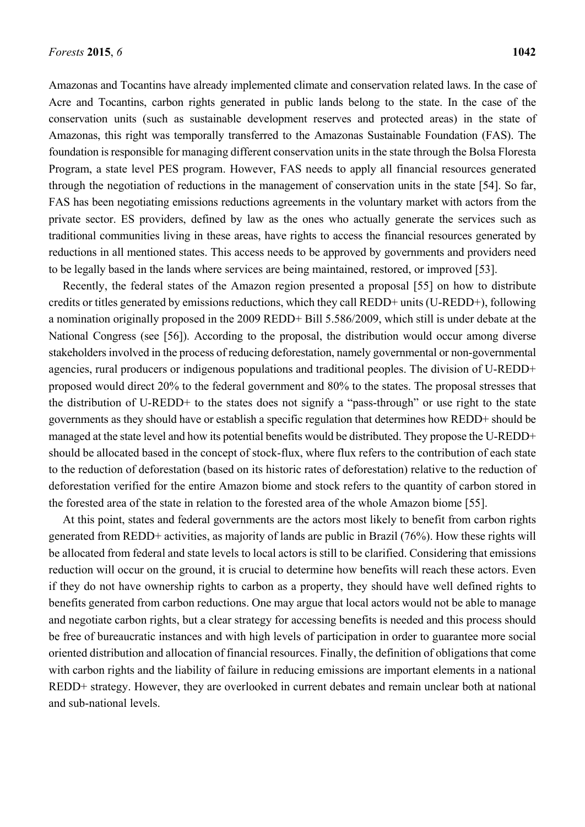Amazonas and Tocantins have already implemented climate and conservation related laws. In the case of Acre and Tocantins, carbon rights generated in public lands belong to the state. In the case of the conservation units (such as sustainable development reserves and protected areas) in the state of Amazonas, this right was temporally transferred to the Amazonas Sustainable Foundation (FAS). The foundation is responsible for managing different conservation units in the state through the Bolsa Floresta Program, a state level PES program. However, FAS needs to apply all financial resources generated through the negotiation of reductions in the management of conservation units in the state [54]. So far, FAS has been negotiating emissions reductions agreements in the voluntary market with actors from the private sector. ES providers, defined by law as the ones who actually generate the services such as traditional communities living in these areas, have rights to access the financial resources generated by reductions in all mentioned states. This access needs to be approved by governments and providers need to be legally based in the lands where services are being maintained, restored, or improved [53].

Recently, the federal states of the Amazon region presented a proposal [55] on how to distribute credits or titles generated by emissions reductions, which they call REDD+ units (U-REDD+), following a nomination originally proposed in the 2009 REDD+ Bill 5.586/2009, which still is under debate at the National Congress (see [56]). According to the proposal, the distribution would occur among diverse stakeholders involved in the process of reducing deforestation, namely governmental or non-governmental agencies, rural producers or indigenous populations and traditional peoples. The division of U-REDD+ proposed would direct 20% to the federal government and 80% to the states. The proposal stresses that the distribution of U-REDD+ to the states does not signify a "pass-through" or use right to the state governments as they should have or establish a specific regulation that determines how REDD+ should be managed at the state level and how its potential benefits would be distributed. They propose the U-REDD+ should be allocated based in the concept of stock-flux, where flux refers to the contribution of each state to the reduction of deforestation (based on its historic rates of deforestation) relative to the reduction of deforestation verified for the entire Amazon biome and stock refers to the quantity of carbon stored in the forested area of the state in relation to the forested area of the whole Amazon biome [55].

At this point, states and federal governments are the actors most likely to benefit from carbon rights generated from REDD+ activities, as majority of lands are public in Brazil (76%). How these rights will be allocated from federal and state levels to local actors is still to be clarified. Considering that emissions reduction will occur on the ground, it is crucial to determine how benefits will reach these actors. Even if they do not have ownership rights to carbon as a property, they should have well defined rights to benefits generated from carbon reductions. One may argue that local actors would not be able to manage and negotiate carbon rights, but a clear strategy for accessing benefits is needed and this process should be free of bureaucratic instances and with high levels of participation in order to guarantee more social oriented distribution and allocation of financial resources. Finally, the definition of obligations that come with carbon rights and the liability of failure in reducing emissions are important elements in a national REDD+ strategy. However, they are overlooked in current debates and remain unclear both at national and sub-national levels.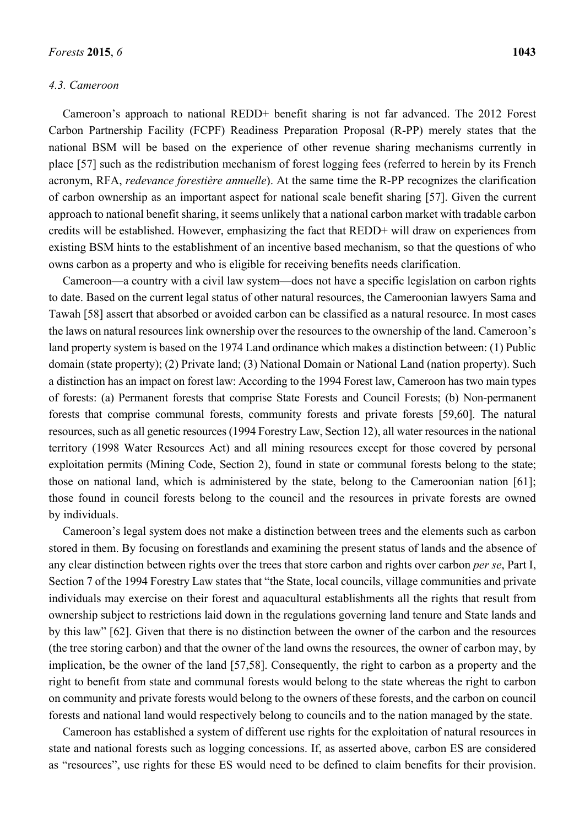#### *4.3. Cameroon*

Cameroon's approach to national REDD+ benefit sharing is not far advanced. The 2012 Forest Carbon Partnership Facility (FCPF) Readiness Preparation Proposal (R-PP) merely states that the national BSM will be based on the experience of other revenue sharing mechanisms currently in place [57] such as the redistribution mechanism of forest logging fees (referred to herein by its French acronym, RFA, *redevance forestière annuelle*). At the same time the R-PP recognizes the clarification of carbon ownership as an important aspect for national scale benefit sharing [57]. Given the current approach to national benefit sharing, it seems unlikely that a national carbon market with tradable carbon credits will be established. However, emphasizing the fact that REDD+ will draw on experiences from existing BSM hints to the establishment of an incentive based mechanism, so that the questions of who owns carbon as a property and who is eligible for receiving benefits needs clarification.

Cameroon—a country with a civil law system—does not have a specific legislation on carbon rights to date. Based on the current legal status of other natural resources, the Cameroonian lawyers Sama and Tawah [58] assert that absorbed or avoided carbon can be classified as a natural resource. In most cases the laws on natural resources link ownership over the resources to the ownership of the land. Cameroon's land property system is based on the 1974 Land ordinance which makes a distinction between: (1) Public domain (state property); (2) Private land; (3) National Domain or National Land (nation property). Such a distinction has an impact on forest law: According to the 1994 Forest law, Cameroon has two main types of forests: (a) Permanent forests that comprise State Forests and Council Forests; (b) Non-permanent forests that comprise communal forests, community forests and private forests [59,60]. The natural resources, such as all genetic resources (1994 Forestry Law, Section 12), all water resources in the national territory (1998 Water Resources Act) and all mining resources except for those covered by personal exploitation permits (Mining Code, Section 2), found in state or communal forests belong to the state; those on national land, which is administered by the state, belong to the Cameroonian nation [61]; those found in council forests belong to the council and the resources in private forests are owned by individuals.

Cameroon's legal system does not make a distinction between trees and the elements such as carbon stored in them. By focusing on forestlands and examining the present status of lands and the absence of any clear distinction between rights over the trees that store carbon and rights over carbon *per se*, Part I, Section 7 of the 1994 Forestry Law states that "the State, local councils, village communities and private individuals may exercise on their forest and aquacultural establishments all the rights that result from ownership subject to restrictions laid down in the regulations governing land tenure and State lands and by this law" [62]. Given that there is no distinction between the owner of the carbon and the resources (the tree storing carbon) and that the owner of the land owns the resources, the owner of carbon may, by implication, be the owner of the land [57,58]. Consequently, the right to carbon as a property and the right to benefit from state and communal forests would belong to the state whereas the right to carbon on community and private forests would belong to the owners of these forests, and the carbon on council forests and national land would respectively belong to councils and to the nation managed by the state.

Cameroon has established a system of different use rights for the exploitation of natural resources in state and national forests such as logging concessions. If, as asserted above, carbon ES are considered as "resources", use rights for these ES would need to be defined to claim benefits for their provision.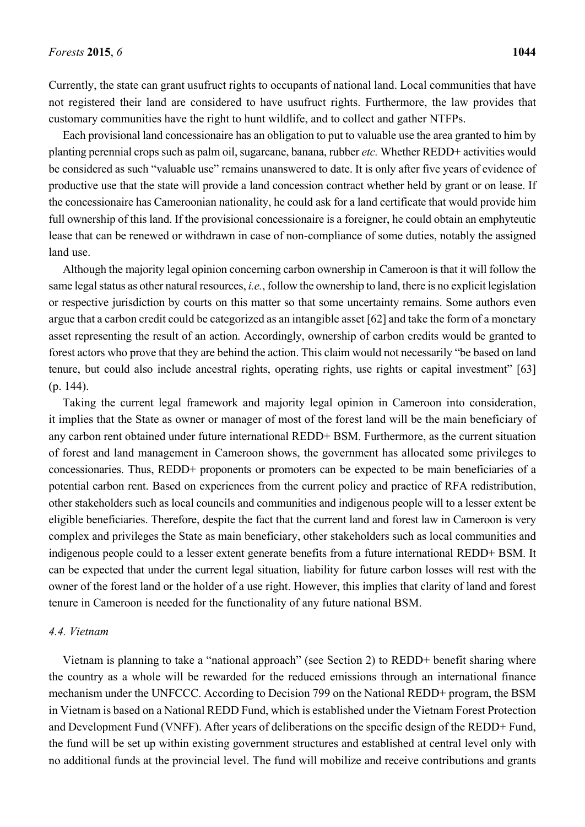Currently, the state can grant usufruct rights to occupants of national land. Local communities that have not registered their land are considered to have usufruct rights. Furthermore, the law provides that customary communities have the right to hunt wildlife, and to collect and gather NTFPs.

Each provisional land concessionaire has an obligation to put to valuable use the area granted to him by planting perennial crops such as palm oil, sugarcane, banana, rubber *etc.* Whether REDD+ activities would be considered as such "valuable use" remains unanswered to date. It is only after five years of evidence of productive use that the state will provide a land concession contract whether held by grant or on lease. If the concessionaire has Cameroonian nationality, he could ask for a land certificate that would provide him full ownership of this land. If the provisional concessionaire is a foreigner, he could obtain an emphyteutic lease that can be renewed or withdrawn in case of non-compliance of some duties, notably the assigned land use.

Although the majority legal opinion concerning carbon ownership in Cameroon is that it will follow the same legal status as other natural resources, *i.e.*, follow the ownership to land, there is no explicit legislation or respective jurisdiction by courts on this matter so that some uncertainty remains. Some authors even argue that a carbon credit could be categorized as an intangible asset [62] and take the form of a monetary asset representing the result of an action. Accordingly, ownership of carbon credits would be granted to forest actors who prove that they are behind the action. This claim would not necessarily "be based on land tenure, but could also include ancestral rights, operating rights, use rights or capital investment" [63] (p. 144).

Taking the current legal framework and majority legal opinion in Cameroon into consideration, it implies that the State as owner or manager of most of the forest land will be the main beneficiary of any carbon rent obtained under future international REDD+ BSM. Furthermore, as the current situation of forest and land management in Cameroon shows, the government has allocated some privileges to concessionaries. Thus, REDD+ proponents or promoters can be expected to be main beneficiaries of a potential carbon rent. Based on experiences from the current policy and practice of RFA redistribution, other stakeholders such as local councils and communities and indigenous people will to a lesser extent be eligible beneficiaries. Therefore, despite the fact that the current land and forest law in Cameroon is very complex and privileges the State as main beneficiary, other stakeholders such as local communities and indigenous people could to a lesser extent generate benefits from a future international REDD+ BSM. It can be expected that under the current legal situation, liability for future carbon losses will rest with the owner of the forest land or the holder of a use right. However, this implies that clarity of land and forest tenure in Cameroon is needed for the functionality of any future national BSM.

#### *4.4. Vietnam*

Vietnam is planning to take a "national approach" (see Section 2) to REDD+ benefit sharing where the country as a whole will be rewarded for the reduced emissions through an international finance mechanism under the UNFCCC. According to Decision 799 on the National REDD+ program, the BSM in Vietnam is based on a National REDD Fund, which is established under the Vietnam Forest Protection and Development Fund (VNFF). After years of deliberations on the specific design of the REDD+ Fund, the fund will be set up within existing government structures and established at central level only with no additional funds at the provincial level. The fund will mobilize and receive contributions and grants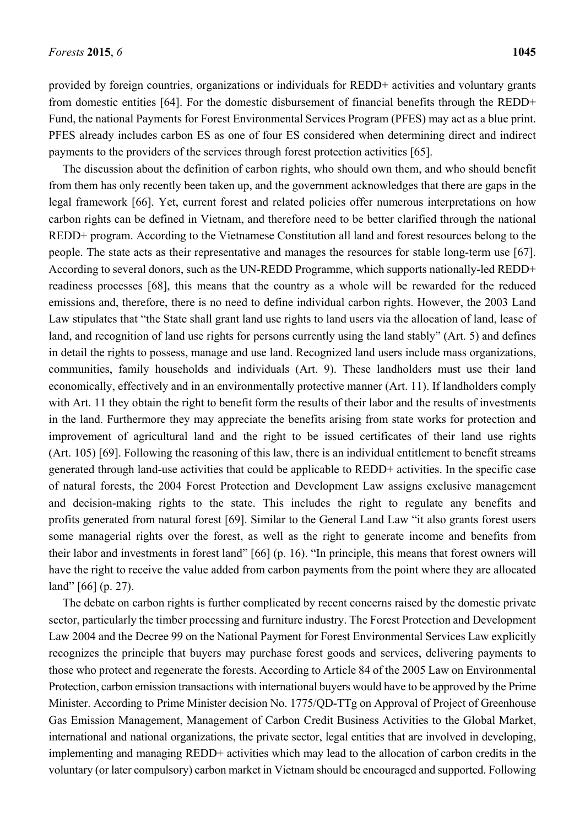provided by foreign countries, organizations or individuals for REDD+ activities and voluntary grants from domestic entities [64]. For the domestic disbursement of financial benefits through the REDD+ Fund, the national Payments for Forest Environmental Services Program (PFES) may act as a blue print. PFES already includes carbon ES as one of four ES considered when determining direct and indirect payments to the providers of the services through forest protection activities [65].

The discussion about the definition of carbon rights, who should own them, and who should benefit from them has only recently been taken up, and the government acknowledges that there are gaps in the legal framework [66]. Yet, current forest and related policies offer numerous interpretations on how carbon rights can be defined in Vietnam, and therefore need to be better clarified through the national REDD+ program. According to the Vietnamese Constitution all land and forest resources belong to the people. The state acts as their representative and manages the resources for stable long-term use [67]. According to several donors, such as the UN-REDD Programme, which supports nationally-led REDD+ readiness processes [68], this means that the country as a whole will be rewarded for the reduced emissions and, therefore, there is no need to define individual carbon rights. However, the 2003 Land Law stipulates that "the State shall grant land use rights to land users via the allocation of land, lease of land, and recognition of land use rights for persons currently using the land stably" (Art. 5) and defines in detail the rights to possess, manage and use land. Recognized land users include mass organizations, communities, family households and individuals (Art. 9). These landholders must use their land economically, effectively and in an environmentally protective manner (Art. 11). If landholders comply with Art. 11 they obtain the right to benefit form the results of their labor and the results of investments in the land. Furthermore they may appreciate the benefits arising from state works for protection and improvement of agricultural land and the right to be issued certificates of their land use rights (Art. 105) [69]. Following the reasoning of this law, there is an individual entitlement to benefit streams generated through land-use activities that could be applicable to REDD+ activities. In the specific case of natural forests, the 2004 Forest Protection and Development Law assigns exclusive management and decision-making rights to the state. This includes the right to regulate any benefits and profits generated from natural forest [69]. Similar to the General Land Law "it also grants forest users some managerial rights over the forest, as well as the right to generate income and benefits from their labor and investments in forest land" [66] (p. 16). "In principle, this means that forest owners will have the right to receive the value added from carbon payments from the point where they are allocated land" [66] (p. 27).

The debate on carbon rights is further complicated by recent concerns raised by the domestic private sector, particularly the timber processing and furniture industry. The Forest Protection and Development Law 2004 and the Decree 99 on the National Payment for Forest Environmental Services Law explicitly recognizes the principle that buyers may purchase forest goods and services, delivering payments to those who protect and regenerate the forests. According to Article 84 of the 2005 Law on Environmental Protection, carbon emission transactions with international buyers would have to be approved by the Prime Minister. According to Prime Minister decision No. 1775/QD-TTg on Approval of Project of Greenhouse Gas Emission Management, Management of Carbon Credit Business Activities to the Global Market, international and national organizations, the private sector, legal entities that are involved in developing, implementing and managing REDD+ activities which may lead to the allocation of carbon credits in the voluntary (or later compulsory) carbon market in Vietnam should be encouraged and supported. Following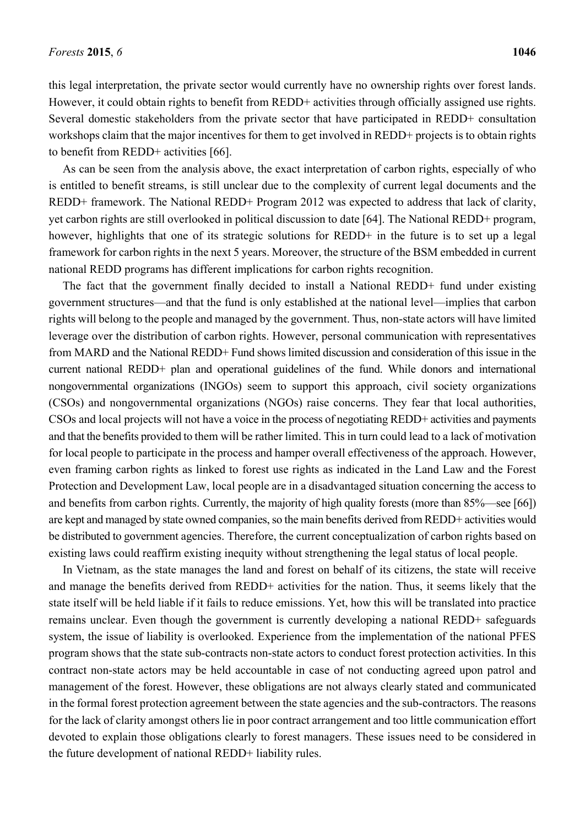this legal interpretation, the private sector would currently have no ownership rights over forest lands. However, it could obtain rights to benefit from REDD+ activities through officially assigned use rights. Several domestic stakeholders from the private sector that have participated in REDD+ consultation workshops claim that the major incentives for them to get involved in REDD+ projects is to obtain rights to benefit from REDD+ activities [66].

As can be seen from the analysis above, the exact interpretation of carbon rights, especially of who is entitled to benefit streams, is still unclear due to the complexity of current legal documents and the REDD+ framework. The National REDD+ Program 2012 was expected to address that lack of clarity, yet carbon rights are still overlooked in political discussion to date [64]. The National REDD+ program, however, highlights that one of its strategic solutions for REDD+ in the future is to set up a legal framework for carbon rights in the next 5 years. Moreover, the structure of the BSM embedded in current national REDD programs has different implications for carbon rights recognition.

The fact that the government finally decided to install a National REDD+ fund under existing government structures—and that the fund is only established at the national level—implies that carbon rights will belong to the people and managed by the government. Thus, non-state actors will have limited leverage over the distribution of carbon rights. However, personal communication with representatives from MARD and the National REDD+ Fund shows limited discussion and consideration of this issue in the current national REDD+ plan and operational guidelines of the fund. While donors and international nongovernmental organizations (INGOs) seem to support this approach, civil society organizations (CSOs) and nongovernmental organizations (NGOs) raise concerns. They fear that local authorities, CSOs and local projects will not have a voice in the process of negotiating REDD+ activities and payments and that the benefits provided to them will be rather limited. This in turn could lead to a lack of motivation for local people to participate in the process and hamper overall effectiveness of the approach. However, even framing carbon rights as linked to forest use rights as indicated in the Land Law and the Forest Protection and Development Law, local people are in a disadvantaged situation concerning the access to and benefits from carbon rights. Currently, the majority of high quality forests (more than 85%—see [66]) are kept and managed by state owned companies, so the main benefits derived from REDD+ activities would be distributed to government agencies. Therefore, the current conceptualization of carbon rights based on existing laws could reaffirm existing inequity without strengthening the legal status of local people.

In Vietnam, as the state manages the land and forest on behalf of its citizens, the state will receive and manage the benefits derived from REDD+ activities for the nation. Thus, it seems likely that the state itself will be held liable if it fails to reduce emissions. Yet, how this will be translated into practice remains unclear. Even though the government is currently developing a national REDD+ safeguards system, the issue of liability is overlooked. Experience from the implementation of the national PFES program shows that the state sub-contracts non-state actors to conduct forest protection activities. In this contract non-state actors may be held accountable in case of not conducting agreed upon patrol and management of the forest. However, these obligations are not always clearly stated and communicated in the formal forest protection agreement between the state agencies and the sub-contractors. The reasons for the lack of clarity amongst others lie in poor contract arrangement and too little communication effort devoted to explain those obligations clearly to forest managers. These issues need to be considered in the future development of national REDD+ liability rules.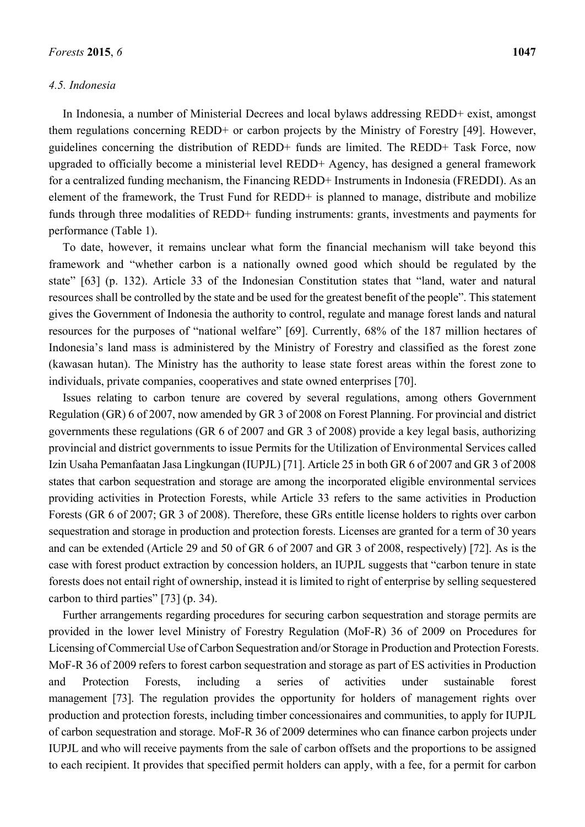#### *4.5. Indonesia*

In Indonesia, a number of Ministerial Decrees and local bylaws addressing REDD+ exist, amongst them regulations concerning REDD+ or carbon projects by the Ministry of Forestry [49]. However, guidelines concerning the distribution of REDD+ funds are limited. The REDD+ Task Force, now upgraded to officially become a ministerial level REDD+ Agency, has designed a general framework for a centralized funding mechanism, the Financing REDD+ Instruments in Indonesia (FREDDI). As an element of the framework, the Trust Fund for REDD+ is planned to manage, distribute and mobilize funds through three modalities of REDD+ funding instruments: grants, investments and payments for performance (Table 1).

To date, however, it remains unclear what form the financial mechanism will take beyond this framework and "whether carbon is a nationally owned good which should be regulated by the state" [63] (p. 132). Article 33 of the Indonesian Constitution states that "land, water and natural resources shall be controlled by the state and be used for the greatest benefit of the people". This statement gives the Government of Indonesia the authority to control, regulate and manage forest lands and natural resources for the purposes of "national welfare" [69]. Currently, 68% of the 187 million hectares of Indonesia's land mass is administered by the Ministry of Forestry and classified as the forest zone (kawasan hutan). The Ministry has the authority to lease state forest areas within the forest zone to individuals, private companies, cooperatives and state owned enterprises [70].

Issues relating to carbon tenure are covered by several regulations, among others Government Regulation (GR) 6 of 2007, now amended by GR 3 of 2008 on Forest Planning. For provincial and district governments these regulations (GR 6 of 2007 and GR 3 of 2008) provide a key legal basis, authorizing provincial and district governments to issue Permits for the Utilization of Environmental Services called Izin Usaha Pemanfaatan Jasa Lingkungan (IUPJL) [71]. Article 25 in both GR 6 of 2007 and GR 3 of 2008 states that carbon sequestration and storage are among the incorporated eligible environmental services providing activities in Protection Forests, while Article 33 refers to the same activities in Production Forests (GR 6 of 2007; GR 3 of 2008). Therefore, these GRs entitle license holders to rights over carbon sequestration and storage in production and protection forests. Licenses are granted for a term of 30 years and can be extended (Article 29 and 50 of GR 6 of 2007 and GR 3 of 2008, respectively) [72]. As is the case with forest product extraction by concession holders, an IUPJL suggests that "carbon tenure in state forests does not entail right of ownership, instead it is limited to right of enterprise by selling sequestered carbon to third parties" [73] (p. 34).

Further arrangements regarding procedures for securing carbon sequestration and storage permits are provided in the lower level Ministry of Forestry Regulation (MoF-R) 36 of 2009 on Procedures for Licensing of Commercial Use of Carbon Sequestration and/or Storage in Production and Protection Forests. MoF-R 36 of 2009 refers to forest carbon sequestration and storage as part of ES activities in Production and Protection Forests, including a series of activities under sustainable forest management [73]. The regulation provides the opportunity for holders of management rights over production and protection forests, including timber concessionaires and communities, to apply for IUPJL of carbon sequestration and storage. MoF-R 36 of 2009 determines who can finance carbon projects under IUPJL and who will receive payments from the sale of carbon offsets and the proportions to be assigned to each recipient. It provides that specified permit holders can apply, with a fee, for a permit for carbon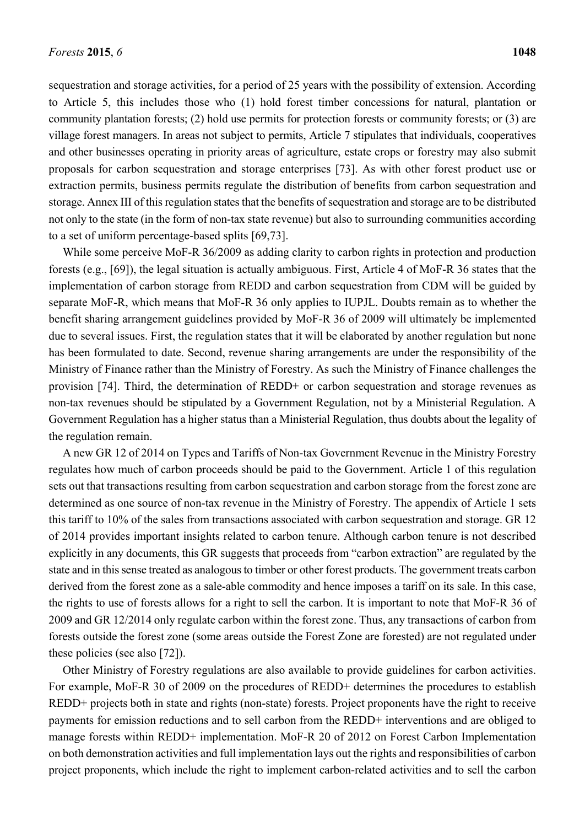sequestration and storage activities, for a period of 25 years with the possibility of extension. According to Article 5, this includes those who (1) hold forest timber concessions for natural, plantation or community plantation forests; (2) hold use permits for protection forests or community forests; or (3) are village forest managers. In areas not subject to permits, Article 7 stipulates that individuals, cooperatives and other businesses operating in priority areas of agriculture, estate crops or forestry may also submit proposals for carbon sequestration and storage enterprises [73]. As with other forest product use or extraction permits, business permits regulate the distribution of benefits from carbon sequestration and storage. Annex III of this regulation states that the benefits of sequestration and storage are to be distributed not only to the state (in the form of non-tax state revenue) but also to surrounding communities according to a set of uniform percentage-based splits [69,73].

While some perceive MoF-R 36/2009 as adding clarity to carbon rights in protection and production forests (e.g., [69]), the legal situation is actually ambiguous. First, Article 4 of MoF-R 36 states that the implementation of carbon storage from REDD and carbon sequestration from CDM will be guided by separate MoF-R, which means that MoF-R 36 only applies to IUPJL. Doubts remain as to whether the benefit sharing arrangement guidelines provided by MoF-R 36 of 2009 will ultimately be implemented due to several issues. First, the regulation states that it will be elaborated by another regulation but none has been formulated to date. Second, revenue sharing arrangements are under the responsibility of the Ministry of Finance rather than the Ministry of Forestry. As such the Ministry of Finance challenges the provision [74]. Third, the determination of REDD+ or carbon sequestration and storage revenues as non-tax revenues should be stipulated by a Government Regulation, not by a Ministerial Regulation. A Government Regulation has a higher status than a Ministerial Regulation, thus doubts about the legality of the regulation remain.

A new GR 12 of 2014 on Types and Tariffs of Non-tax Government Revenue in the Ministry Forestry regulates how much of carbon proceeds should be paid to the Government. Article 1 of this regulation sets out that transactions resulting from carbon sequestration and carbon storage from the forest zone are determined as one source of non-tax revenue in the Ministry of Forestry. The appendix of Article 1 sets this tariff to 10% of the sales from transactions associated with carbon sequestration and storage. GR 12 of 2014 provides important insights related to carbon tenure. Although carbon tenure is not described explicitly in any documents, this GR suggests that proceeds from "carbon extraction" are regulated by the state and in this sense treated as analogous to timber or other forest products. The government treats carbon derived from the forest zone as a sale-able commodity and hence imposes a tariff on its sale. In this case, the rights to use of forests allows for a right to sell the carbon. It is important to note that MoF-R 36 of 2009 and GR 12/2014 only regulate carbon within the forest zone. Thus, any transactions of carbon from forests outside the forest zone (some areas outside the Forest Zone are forested) are not regulated under these policies (see also [72]).

Other Ministry of Forestry regulations are also available to provide guidelines for carbon activities. For example, MoF-R 30 of 2009 on the procedures of REDD+ determines the procedures to establish REDD+ projects both in state and rights (non-state) forests. Project proponents have the right to receive payments for emission reductions and to sell carbon from the REDD+ interventions and are obliged to manage forests within REDD+ implementation. MoF-R 20 of 2012 on Forest Carbon Implementation on both demonstration activities and full implementation lays out the rights and responsibilities of carbon project proponents, which include the right to implement carbon-related activities and to sell the carbon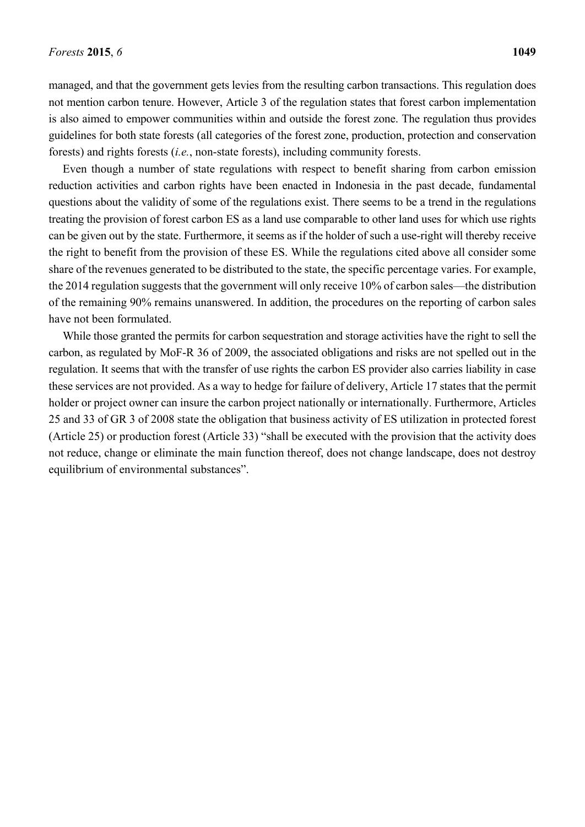managed, and that the government gets levies from the resulting carbon transactions. This regulation does not mention carbon tenure. However, Article 3 of the regulation states that forest carbon implementation is also aimed to empower communities within and outside the forest zone. The regulation thus provides guidelines for both state forests (all categories of the forest zone, production, protection and conservation forests) and rights forests (*i.e.*, non-state forests), including community forests.

Even though a number of state regulations with respect to benefit sharing from carbon emission reduction activities and carbon rights have been enacted in Indonesia in the past decade, fundamental questions about the validity of some of the regulations exist. There seems to be a trend in the regulations treating the provision of forest carbon ES as a land use comparable to other land uses for which use rights can be given out by the state. Furthermore, it seems as if the holder of such a use-right will thereby receive the right to benefit from the provision of these ES. While the regulations cited above all consider some share of the revenues generated to be distributed to the state, the specific percentage varies. For example, the 2014 regulation suggests that the government will only receive 10% of carbon sales—the distribution of the remaining 90% remains unanswered. In addition, the procedures on the reporting of carbon sales have not been formulated.

While those granted the permits for carbon sequestration and storage activities have the right to sell the carbon, as regulated by MoF-R 36 of 2009, the associated obligations and risks are not spelled out in the regulation. It seems that with the transfer of use rights the carbon ES provider also carries liability in case these services are not provided. As a way to hedge for failure of delivery, Article 17 states that the permit holder or project owner can insure the carbon project nationally or internationally. Furthermore, Articles 25 and 33 of GR 3 of 2008 state the obligation that business activity of ES utilization in protected forest (Article 25) or production forest (Article 33) "shall be executed with the provision that the activity does not reduce, change or eliminate the main function thereof, does not change landscape, does not destroy equilibrium of environmental substances".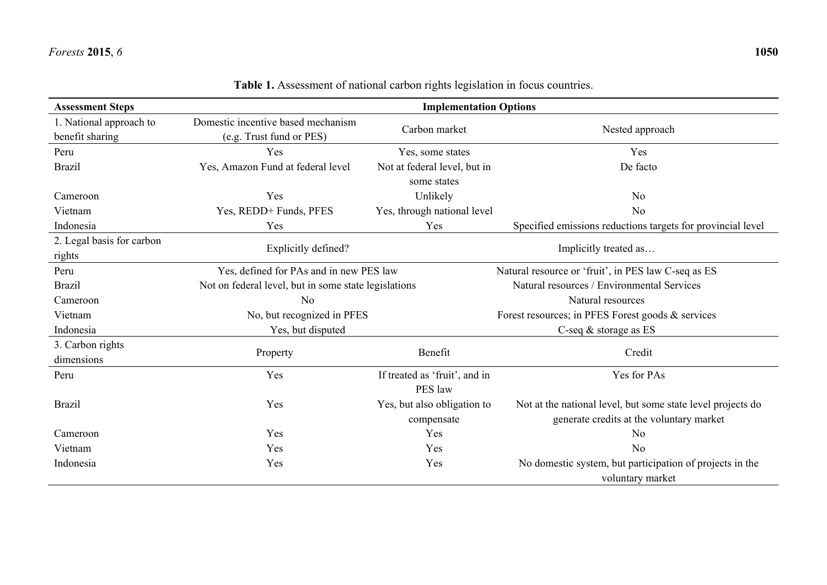| <b>Assessment Steps</b>   | <b>Implementation Options</b>                        |                                          |                                                             |  |
|---------------------------|------------------------------------------------------|------------------------------------------|-------------------------------------------------------------|--|
| 1. National approach to   | Domestic incentive based mechanism                   | Carbon market                            |                                                             |  |
| benefit sharing           | (e.g. Trust fund or PES)                             |                                          | Nested approach                                             |  |
| Peru                      | Yes                                                  | Yes, some states                         | Yes                                                         |  |
| <b>Brazil</b>             | Yes, Amazon Fund at federal level                    | Not at federal level, but in             | De facto                                                    |  |
|                           |                                                      | some states                              |                                                             |  |
| Cameroon                  | Yes                                                  | Unlikely                                 | N <sub>0</sub>                                              |  |
| Vietnam                   | Yes, REDD+ Funds, PFES                               | Yes, through national level              | No                                                          |  |
| Indonesia                 | Yes                                                  | Yes                                      | Specified emissions reductions targets for provincial level |  |
| 2. Legal basis for carbon |                                                      |                                          |                                                             |  |
| rights                    | Explicitly defined?                                  | Implicitly treated as                    |                                                             |  |
| Peru                      | Yes, defined for PAs and in new PES law              |                                          | Natural resource or 'fruit', in PES law C-seq as ES         |  |
| <b>Brazil</b>             | Not on federal level, but in some state legislations |                                          | Natural resources / Environmental Services                  |  |
| Cameroon                  | N <sub>0</sub>                                       |                                          | Natural resources                                           |  |
| Vietnam                   | No, but recognized in PFES                           |                                          | Forest resources; in PFES Forest goods & services           |  |
| Indonesia                 | Yes, but disputed                                    | C-seq $&$ storage as ES                  |                                                             |  |
| 3. Carbon rights          |                                                      |                                          |                                                             |  |
| dimensions                | Property                                             | Benefit<br>If treated as 'fruit', and in | Credit                                                      |  |
| Peru                      | Yes                                                  |                                          | Yes for PAs                                                 |  |
|                           |                                                      | PES law                                  |                                                             |  |
| <b>Brazil</b>             | Yes                                                  | Yes, but also obligation to              | Not at the national level, but some state level projects do |  |
|                           |                                                      | compensate                               | generate credits at the voluntary market                    |  |
| Cameroon                  | Yes                                                  | Yes                                      | N <sub>0</sub>                                              |  |
| Vietnam                   | Yes                                                  | Yes                                      | N <sub>o</sub>                                              |  |
| Indonesia                 | Yes                                                  | Yes                                      | No domestic system, but participation of projects in the    |  |
|                           |                                                      |                                          | voluntary market                                            |  |

# **Table 1.** Assessment of national carbon rights legislation in focus countries.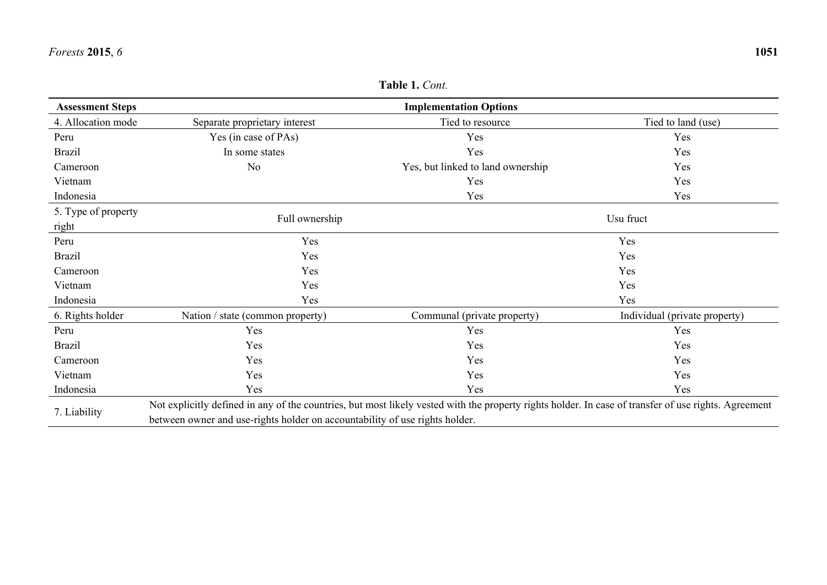| <b>Assessment Steps</b>      |                                                                                                                                                                                                                                     | <b>Implementation Options</b>            |                               |  |
|------------------------------|-------------------------------------------------------------------------------------------------------------------------------------------------------------------------------------------------------------------------------------|------------------------------------------|-------------------------------|--|
| 4. Allocation mode           | Separate proprietary interest                                                                                                                                                                                                       | Tied to resource<br>Tied to land (use)   |                               |  |
| Peru                         | Yes (in case of PAs)                                                                                                                                                                                                                | Yes<br>Yes                               |                               |  |
| <b>Brazil</b>                | In some states                                                                                                                                                                                                                      | Yes<br>Yes                               |                               |  |
| Cameroon                     | N <sub>o</sub>                                                                                                                                                                                                                      | Yes, but linked to land ownership<br>Yes |                               |  |
| Vietnam                      |                                                                                                                                                                                                                                     | Yes                                      | Yes                           |  |
| Indonesia                    |                                                                                                                                                                                                                                     | Yes                                      | Yes                           |  |
| 5. Type of property<br>right | Full ownership                                                                                                                                                                                                                      | Usu fruct                                |                               |  |
| Peru                         | Yes                                                                                                                                                                                                                                 | Yes                                      |                               |  |
| <b>Brazil</b>                | Yes                                                                                                                                                                                                                                 | Yes                                      |                               |  |
| Cameroon                     | Yes                                                                                                                                                                                                                                 | Yes                                      |                               |  |
| Vietnam                      | Yes                                                                                                                                                                                                                                 | Yes                                      |                               |  |
| Indonesia                    | Yes                                                                                                                                                                                                                                 | Yes                                      |                               |  |
| 6. Rights holder             | Nation / state (common property)                                                                                                                                                                                                    | Communal (private property)              | Individual (private property) |  |
| Peru                         | Yes                                                                                                                                                                                                                                 | Yes                                      | Yes                           |  |
| <b>Brazil</b>                | Yes                                                                                                                                                                                                                                 | Yes                                      | Yes                           |  |
| Cameroon                     | Yes                                                                                                                                                                                                                                 | Yes                                      | Yes                           |  |
| Vietnam                      | Yes                                                                                                                                                                                                                                 | Yes                                      | Yes                           |  |
| Indonesia                    | Yes                                                                                                                                                                                                                                 | Yes                                      | Yes                           |  |
| 7. Liability                 | Not explicitly defined in any of the countries, but most likely vested with the property rights holder. In case of transfer of use rights. Agreement<br>between owner and use-rights holder on accountability of use rights holder. |                                          |                               |  |

**Table 1.** *Cont.*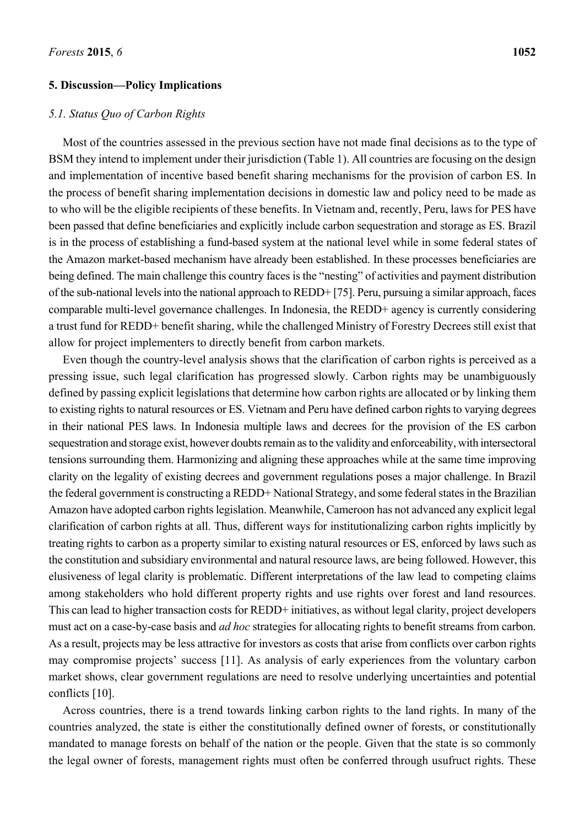#### **5. Discussion—Policy Implications**

# *5.1. Status Quo of Carbon Rights*

Most of the countries assessed in the previous section have not made final decisions as to the type of BSM they intend to implement under their jurisdiction (Table 1). All countries are focusing on the design and implementation of incentive based benefit sharing mechanisms for the provision of carbon ES. In the process of benefit sharing implementation decisions in domestic law and policy need to be made as to who will be the eligible recipients of these benefits. In Vietnam and, recently, Peru, laws for PES have been passed that define beneficiaries and explicitly include carbon sequestration and storage as ES. Brazil is in the process of establishing a fund-based system at the national level while in some federal states of the Amazon market-based mechanism have already been established. In these processes beneficiaries are being defined. The main challenge this country faces is the "nesting" of activities and payment distribution of the sub-national levels into the national approach to REDD+ [75]. Peru, pursuing a similar approach, faces comparable multi-level governance challenges. In Indonesia, the REDD+ agency is currently considering a trust fund for REDD+ benefit sharing, while the challenged Ministry of Forestry Decrees still exist that allow for project implementers to directly benefit from carbon markets.

Even though the country-level analysis shows that the clarification of carbon rights is perceived as a pressing issue, such legal clarification has progressed slowly. Carbon rights may be unambiguously defined by passing explicit legislations that determine how carbon rights are allocated or by linking them to existing rights to natural resources or ES. Vietnam and Peru have defined carbon rights to varying degrees in their national PES laws. In Indonesia multiple laws and decrees for the provision of the ES carbon sequestration and storage exist, however doubts remain as to the validity and enforceability, with intersectoral tensions surrounding them. Harmonizing and aligning these approaches while at the same time improving clarity on the legality of existing decrees and government regulations poses a major challenge. In Brazil the federal government is constructing a REDD+ National Strategy, and some federal states in the Brazilian Amazon have adopted carbon rights legislation. Meanwhile, Cameroon has not advanced any explicit legal clarification of carbon rights at all. Thus, different ways for institutionalizing carbon rights implicitly by treating rights to carbon as a property similar to existing natural resources or ES, enforced by laws such as the constitution and subsidiary environmental and natural resource laws, are being followed. However, this elusiveness of legal clarity is problematic. Different interpretations of the law lead to competing claims among stakeholders who hold different property rights and use rights over forest and land resources. This can lead to higher transaction costs for REDD+ initiatives, as without legal clarity, project developers must act on a case-by-case basis and *ad hoc* strategies for allocating rights to benefit streams from carbon. As a result, projects may be less attractive for investors as costs that arise from conflicts over carbon rights may compromise projects' success [11]. As analysis of early experiences from the voluntary carbon market shows, clear government regulations are need to resolve underlying uncertainties and potential conflicts [10].

Across countries, there is a trend towards linking carbon rights to the land rights. In many of the countries analyzed, the state is either the constitutionally defined owner of forests, or constitutionally mandated to manage forests on behalf of the nation or the people. Given that the state is so commonly the legal owner of forests, management rights must often be conferred through usufruct rights. These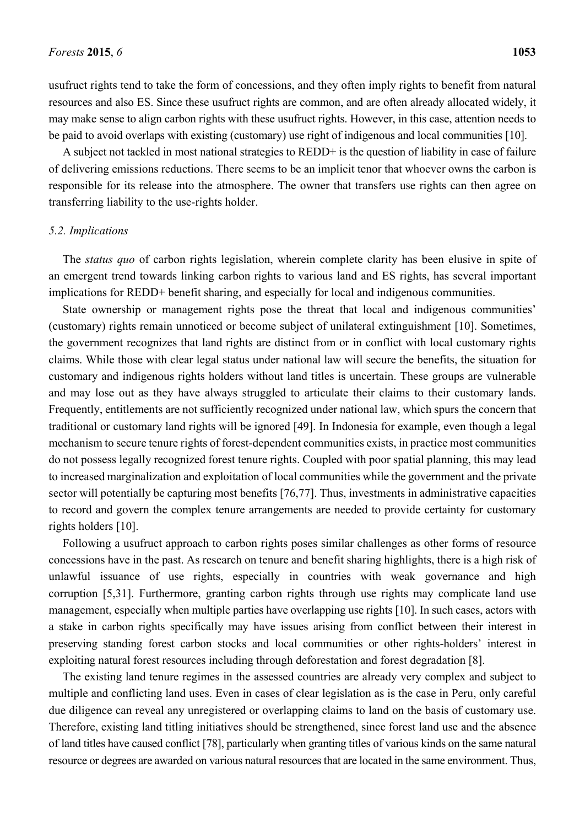usufruct rights tend to take the form of concessions, and they often imply rights to benefit from natural resources and also ES. Since these usufruct rights are common, and are often already allocated widely, it may make sense to align carbon rights with these usufruct rights. However, in this case, attention needs to be paid to avoid overlaps with existing (customary) use right of indigenous and local communities [10].

A subject not tackled in most national strategies to REDD+ is the question of liability in case of failure of delivering emissions reductions. There seems to be an implicit tenor that whoever owns the carbon is responsible for its release into the atmosphere. The owner that transfers use rights can then agree on transferring liability to the use-rights holder.

#### *5.2. Implications*

The *status quo* of carbon rights legislation, wherein complete clarity has been elusive in spite of an emergent trend towards linking carbon rights to various land and ES rights, has several important implications for REDD+ benefit sharing, and especially for local and indigenous communities.

State ownership or management rights pose the threat that local and indigenous communities' (customary) rights remain unnoticed or become subject of unilateral extinguishment [10]. Sometimes, the government recognizes that land rights are distinct from or in conflict with local customary rights claims. While those with clear legal status under national law will secure the benefits, the situation for customary and indigenous rights holders without land titles is uncertain. These groups are vulnerable and may lose out as they have always struggled to articulate their claims to their customary lands. Frequently, entitlements are not sufficiently recognized under national law, which spurs the concern that traditional or customary land rights will be ignored [49]. In Indonesia for example, even though a legal mechanism to secure tenure rights of forest-dependent communities exists, in practice most communities do not possess legally recognized forest tenure rights. Coupled with poor spatial planning, this may lead to increased marginalization and exploitation of local communities while the government and the private sector will potentially be capturing most benefits [76,77]. Thus, investments in administrative capacities to record and govern the complex tenure arrangements are needed to provide certainty for customary rights holders [10].

Following a usufruct approach to carbon rights poses similar challenges as other forms of resource concessions have in the past. As research on tenure and benefit sharing highlights, there is a high risk of unlawful issuance of use rights, especially in countries with weak governance and high corruption [5,31]. Furthermore, granting carbon rights through use rights may complicate land use management, especially when multiple parties have overlapping use rights [10]. In such cases, actors with a stake in carbon rights specifically may have issues arising from conflict between their interest in preserving standing forest carbon stocks and local communities or other rights-holders' interest in exploiting natural forest resources including through deforestation and forest degradation [8].

The existing land tenure regimes in the assessed countries are already very complex and subject to multiple and conflicting land uses. Even in cases of clear legislation as is the case in Peru, only careful due diligence can reveal any unregistered or overlapping claims to land on the basis of customary use. Therefore, existing land titling initiatives should be strengthened, since forest land use and the absence of land titles have caused conflict [78], particularly when granting titles of various kinds on the same natural resource or degrees are awarded on various natural resources that are located in the same environment. Thus,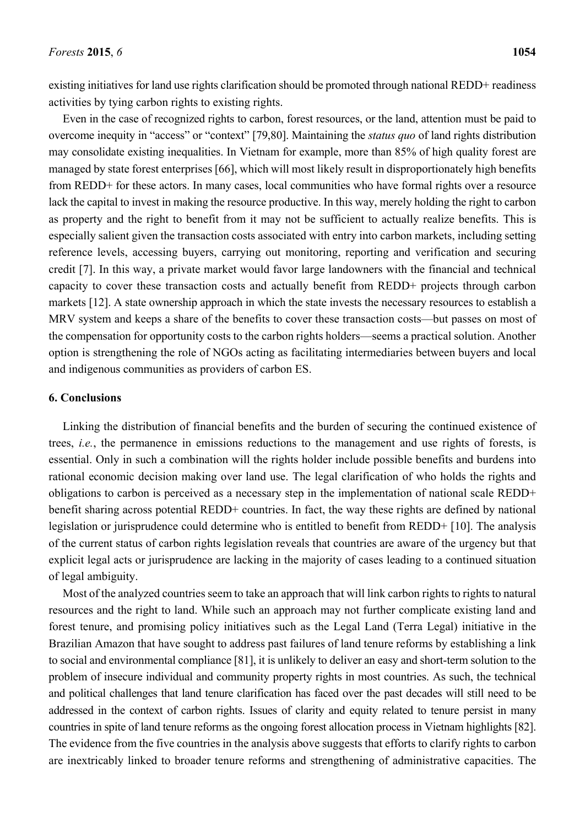existing initiatives for land use rights clarification should be promoted through national REDD+ readiness activities by tying carbon rights to existing rights.

Even in the case of recognized rights to carbon, forest resources, or the land, attention must be paid to overcome inequity in "access" or "context" [79,80]. Maintaining the *status quo* of land rights distribution may consolidate existing inequalities. In Vietnam for example, more than 85% of high quality forest are managed by state forest enterprises [66], which will most likely result in disproportionately high benefits from REDD+ for these actors. In many cases, local communities who have formal rights over a resource lack the capital to invest in making the resource productive. In this way, merely holding the right to carbon as property and the right to benefit from it may not be sufficient to actually realize benefits. This is especially salient given the transaction costs associated with entry into carbon markets, including setting reference levels, accessing buyers, carrying out monitoring, reporting and verification and securing credit [7]. In this way, a private market would favor large landowners with the financial and technical capacity to cover these transaction costs and actually benefit from REDD+ projects through carbon markets [12]. A state ownership approach in which the state invests the necessary resources to establish a MRV system and keeps a share of the benefits to cover these transaction costs—but passes on most of the compensation for opportunity costs to the carbon rights holders—seems a practical solution. Another option is strengthening the role of NGOs acting as facilitating intermediaries between buyers and local and indigenous communities as providers of carbon ES.

### **6. Conclusions**

Linking the distribution of financial benefits and the burden of securing the continued existence of trees, *i.e.*, the permanence in emissions reductions to the management and use rights of forests, is essential. Only in such a combination will the rights holder include possible benefits and burdens into rational economic decision making over land use. The legal clarification of who holds the rights and obligations to carbon is perceived as a necessary step in the implementation of national scale REDD+ benefit sharing across potential REDD+ countries. In fact, the way these rights are defined by national legislation or jurisprudence could determine who is entitled to benefit from REDD+ [10]. The analysis of the current status of carbon rights legislation reveals that countries are aware of the urgency but that explicit legal acts or jurisprudence are lacking in the majority of cases leading to a continued situation of legal ambiguity.

Most of the analyzed countries seem to take an approach that will link carbon rights to rights to natural resources and the right to land. While such an approach may not further complicate existing land and forest tenure, and promising policy initiatives such as the Legal Land (Terra Legal) initiative in the Brazilian Amazon that have sought to address past failures of land tenure reforms by establishing a link to social and environmental compliance [81], it is unlikely to deliver an easy and short-term solution to the problem of insecure individual and community property rights in most countries. As such, the technical and political challenges that land tenure clarification has faced over the past decades will still need to be addressed in the context of carbon rights. Issues of clarity and equity related to tenure persist in many countries in spite of land tenure reforms as the ongoing forest allocation process in Vietnam highlights [82]. The evidence from the five countries in the analysis above suggests that efforts to clarify rights to carbon are inextricably linked to broader tenure reforms and strengthening of administrative capacities. The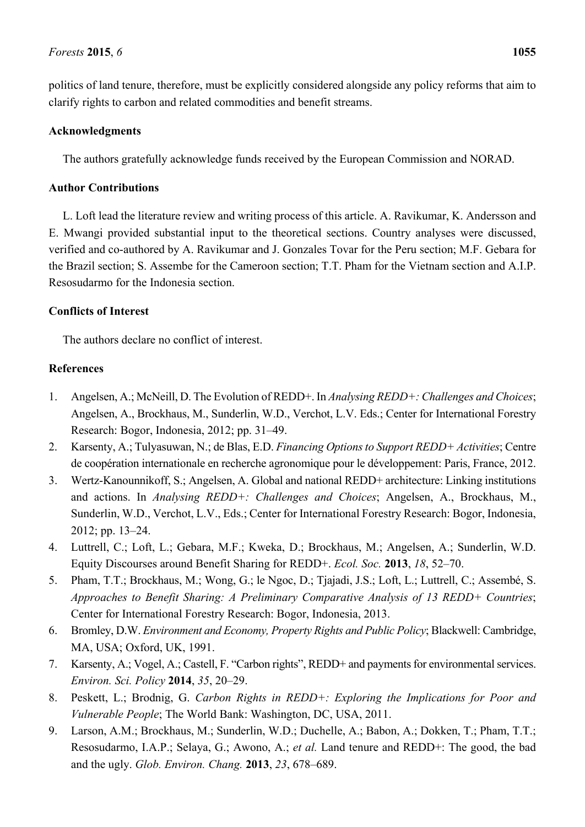#### *Forests* **2015**, *6* **1055**

politics of land tenure, therefore, must be explicitly considered alongside any policy reforms that aim to clarify rights to carbon and related commodities and benefit streams.

# **Acknowledgments**

The authors gratefully acknowledge funds received by the European Commission and NORAD.

# **Author Contributions**

L. Loft lead the literature review and writing process of this article. A. Ravikumar, K. Andersson and E. Mwangi provided substantial input to the theoretical sections. Country analyses were discussed, verified and co-authored by A. Ravikumar and J. Gonzales Tovar for the Peru section; M.F. Gebara for the Brazil section; S. Assembe for the Cameroon section; T.T. Pham for the Vietnam section and A.I.P. Resosudarmo for the Indonesia section.

# **Conflicts of Interest**

The authors declare no conflict of interest.

# **References**

- 1. Angelsen, A.; McNeill, D. The Evolution of REDD+. In *Analysing REDD+: Challenges and Choices*; Angelsen, A., Brockhaus, M., Sunderlin, W.D., Verchot, L.V. Eds.; Center for International Forestry Research: Bogor, Indonesia, 2012; pp. 31–49.
- 2. Karsenty, A.; Tulyasuwan, N.; de Blas, E.D. *Financing Options to Support REDD+ Activities*; Centre de coopération internationale en recherche agronomique pour le développement: Paris, France, 2012.
- 3. Wertz-Kanounnikoff, S.; Angelsen, A. Global and national REDD+ architecture: Linking institutions and actions. In *Analysing REDD+: Challenges and Choices*; Angelsen, A., Brockhaus, M., Sunderlin, W.D., Verchot, L.V., Eds.; Center for International Forestry Research: Bogor, Indonesia, 2012; pp. 13–24.
- 4. Luttrell, C.; Loft, L.; Gebara, M.F.; Kweka, D.; Brockhaus, M.; Angelsen, A.; Sunderlin, W.D. Equity Discourses around Benefit Sharing for REDD+. *Ecol. Soc.* **2013**, *18*, 52–70.
- 5. Pham, T.T.; Brockhaus, M.; Wong, G.; le Ngoc, D.; Tjajadi, J.S.; Loft, L.; Luttrell, C.; Assembé, S. *Approaches to Benefit Sharing: A Preliminary Comparative Analysis of 13 REDD+ Countries*; Center for International Forestry Research: Bogor, Indonesia, 2013.
- 6. Bromley, D.W. *Environment and Economy, Property Rights and Public Policy*; Blackwell: Cambridge, MA, USA; Oxford, UK, 1991.
- 7. Karsenty, A.; Vogel, A.; Castell, F. "Carbon rights", REDD+ and payments for environmental services. *Environ. Sci. Policy* **2014**, *35*, 20–29.
- 8. Peskett, L.; Brodnig, G. *Carbon Rights in REDD+: Exploring the Implications for Poor and Vulnerable People*; The World Bank: Washington, DC, USA, 2011.
- 9. Larson, A.M.; Brockhaus, M.; Sunderlin, W.D.; Duchelle, A.; Babon, A.; Dokken, T.; Pham, T.T.; Resosudarmo, I.A.P.; Selaya, G.; Awono, A.; *et al.* Land tenure and REDD+: The good, the bad and the ugly. *Glob. Environ. Chang.* **2013**, *23*, 678–689.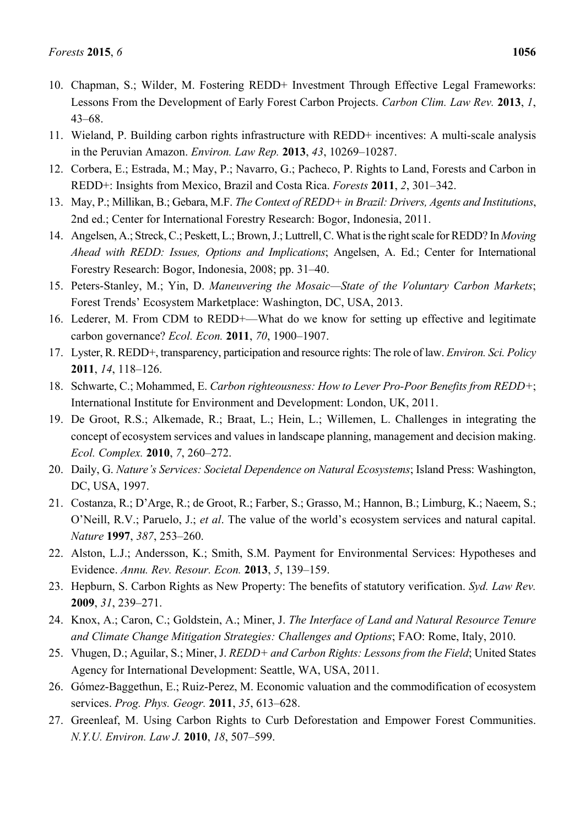- 10. Chapman, S.; Wilder, M. Fostering REDD+ Investment Through Effective Legal Frameworks: Lessons From the Development of Early Forest Carbon Projects. *Carbon Clim. Law Rev.* **2013**, *1*, 43–68.
- 11. Wieland, P. Building carbon rights infrastructure with REDD+ incentives: A multi-scale analysis in the Peruvian Amazon. *Environ. Law Rep.* **2013**, *43*, 10269–10287.
- 12. Corbera, E.; Estrada, M.; May, P.; Navarro, G.; Pacheco, P. Rights to Land, Forests and Carbon in REDD+: Insights from Mexico, Brazil and Costa Rica. *Forests* **2011**, *2*, 301–342.
- 13. May, P.; Millikan, B.; Gebara, M.F. *The Context of REDD+ in Brazil: Drivers, Agents and Institutions*, 2nd ed.; Center for International Forestry Research: Bogor, Indonesia, 2011.
- 14. Angelsen, A.; Streck, C.; Peskett, L.; Brown, J.; Luttrell, C. What is the right scale for REDD? In *Moving Ahead with REDD: Issues, Options and Implications*; Angelsen, A. Ed.; Center for International Forestry Research: Bogor, Indonesia, 2008; pp. 31–40.
- 15. Peters-Stanley, M.; Yin, D. *Maneuvering the Mosaic—State of the Voluntary Carbon Markets*; Forest Trends' Ecosystem Marketplace: Washington, DC, USA, 2013.
- 16. Lederer, M. From CDM to REDD+—What do we know for setting up effective and legitimate carbon governance? *Ecol. Econ.* **2011**, *70*, 1900–1907.
- 17. Lyster, R. REDD+, transparency, participation and resource rights: The role of law. *Environ. Sci. Policy* **2011**, *14*, 118–126.
- 18. Schwarte, C.; Mohammed, E. *Carbon righteousness: How to Lever Pro-Poor Benefits from REDD+*; International Institute for Environment and Development: London, UK, 2011.
- 19. De Groot, R.S.; Alkemade, R.; Braat, L.; Hein, L.; Willemen, L. Challenges in integrating the concept of ecosystem services and values in landscape planning, management and decision making. *Ecol. Complex.* **2010**, *7*, 260–272.
- 20. Daily, G. *Nature's Services: Societal Dependence on Natural Ecosystems*; Island Press: Washington, DC, USA, 1997.
- 21. Costanza, R.; D'Arge, R.; de Groot, R.; Farber, S.; Grasso, M.; Hannon, B.; Limburg, K.; Naeem, S.; O'Neill, R.V.; Paruelo, J.; *et al*. The value of the world's ecosystem services and natural capital. *Nature* **1997**, *387*, 253–260.
- 22. Alston, L.J.; Andersson, K.; Smith, S.M. Payment for Environmental Services: Hypotheses and Evidence. *Annu. Rev. Resour. Econ.* **2013**, *5*, 139–159.
- 23. Hepburn, S. Carbon Rights as New Property: The benefits of statutory verification. *Syd. Law Rev.* **2009**, *31*, 239–271.
- 24. Knox, A.; Caron, C.; Goldstein, A.; Miner, J. *The Interface of Land and Natural Resource Tenure and Climate Change Mitigation Strategies: Challenges and Options*; FAO: Rome, Italy, 2010.
- 25. Vhugen, D.; Aguilar, S.; Miner, J. *REDD+ and Carbon Rights: Lessons from the Field*; United States Agency for International Development: Seattle, WA, USA, 2011.
- 26. Gómez-Baggethun, E.; Ruiz-Perez, M. Economic valuation and the commodification of ecosystem services. *Prog. Phys. Geogr.* **2011**, *35*, 613–628.
- 27. Greenleaf, M. Using Carbon Rights to Curb Deforestation and Empower Forest Communities. *N.Y.U. Environ. Law J.* **2010**, *18*, 507–599.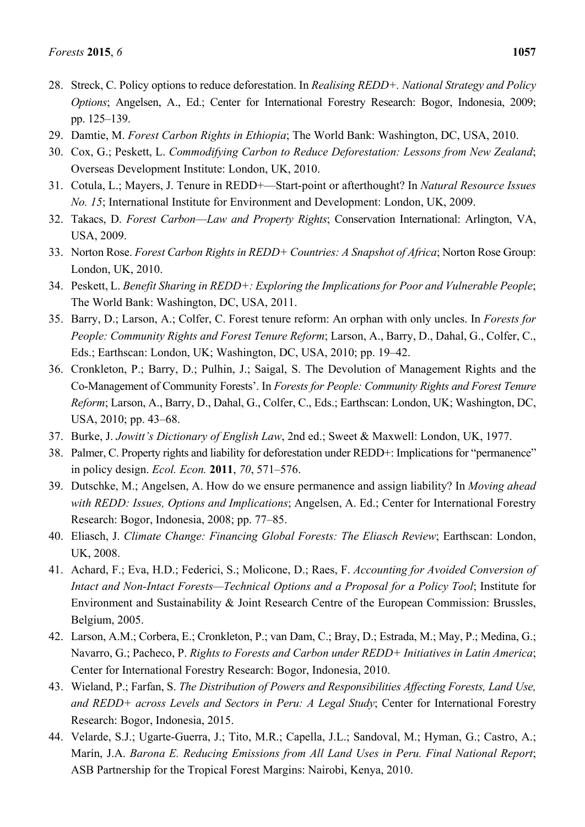- 28. Streck, C. Policy options to reduce deforestation. In *Realising REDD+. National Strategy and Policy Options*; Angelsen, A., Ed.; Center for International Forestry Research: Bogor, Indonesia, 2009; pp. 125–139.
- 29. Damtie, M. *Forest Carbon Rights in Ethiopia*; The World Bank: Washington, DC, USA, 2010.
- 30. Cox, G.; Peskett, L. *Commodifying Carbon to Reduce Deforestation: Lessons from New Zealand*; Overseas Development Institute: London, UK, 2010.
- 31. Cotula, L.; Mayers, J. Tenure in REDD+—Start-point or afterthought? In *Natural Resource Issues No. 15*; International Institute for Environment and Development: London, UK, 2009.
- 32. Takacs, D. *Forest Carbon*—*Law and Property Rights*; Conservation International: Arlington, VA, USA, 2009.
- 33. Norton Rose. *Forest Carbon Rights in REDD+ Countries: A Snapshot of Africa*; Norton Rose Group: London, UK, 2010.
- 34. Peskett, L. *Benefit Sharing in REDD+: Exploring the Implications for Poor and Vulnerable People*; The World Bank: Washington, DC, USA, 2011.
- 35. Barry, D.; Larson, A.; Colfer, C. Forest tenure reform: An orphan with only uncles. In *Forests for People: Community Rights and Forest Tenure Reform*; Larson, A., Barry, D., Dahal, G., Colfer, C., Eds.; Earthscan: London, UK; Washington, DC, USA, 2010; pp. 19–42.
- 36. Cronkleton, P.; Barry, D.; Pulhin, J.; Saigal, S. The Devolution of Management Rights and the Co-Management of Community Forests'. In *Forests for People: Community Rights and Forest Tenure Reform*; Larson, A., Barry, D., Dahal, G., Colfer, C., Eds.; Earthscan: London, UK; Washington, DC, USA, 2010; pp. 43–68.
- 37. Burke, J. *Jowitt's Dictionary of English Law*, 2nd ed.; Sweet & Maxwell: London, UK, 1977.
- 38. Palmer, C. Property rights and liability for deforestation under REDD+: Implications for "permanence" in policy design. *Ecol. Econ.* **2011**, *70*, 571–576.
- 39. Dutschke, M.; Angelsen, A. How do we ensure permanence and assign liability? In *Moving ahead with REDD: Issues, Options and Implications*; Angelsen, A. Ed.; Center for International Forestry Research: Bogor, Indonesia, 2008; pp. 77–85.
- 40. Eliasch, J. *Climate Change: Financing Global Forests: The Eliasch Review*; Earthscan: London, UK, 2008.
- 41. Achard, F.; Eva, H.D.; Federici, S.; Molicone, D.; Raes, F. *Accounting for Avoided Conversion of Intact and Non-Intact Forests—Technical Options and a Proposal for a Policy Tool*; Institute for Environment and Sustainability & Joint Research Centre of the European Commission: Brussles, Belgium, 2005.
- 42. Larson, A.M.; Corbera, E.; Cronkleton, P.; van Dam, C.; Bray, D.; Estrada, M.; May, P.; Medina, G.; Navarro, G.; Pacheco, P. *Rights to Forests and Carbon under REDD+ Initiatives in Latin America*; Center for International Forestry Research: Bogor, Indonesia, 2010.
- 43. Wieland, P.; Farfan, S. *The Distribution of Powers and Responsibilities Affecting Forests, Land Use, and REDD+ across Levels and Sectors in Peru: A Legal Study*; Center for International Forestry Research: Bogor, Indonesia, 2015.
- 44. Velarde, S.J.; Ugarte-Guerra, J.; Tito, M.R.; Capella, J.L.; Sandoval, M.; Hyman, G.; Castro, A.; Marín, J.A. *Barona E. Reducing Emissions from All Land Uses in Peru. Final National Report*; ASB Partnership for the Tropical Forest Margins: Nairobi, Kenya, 2010.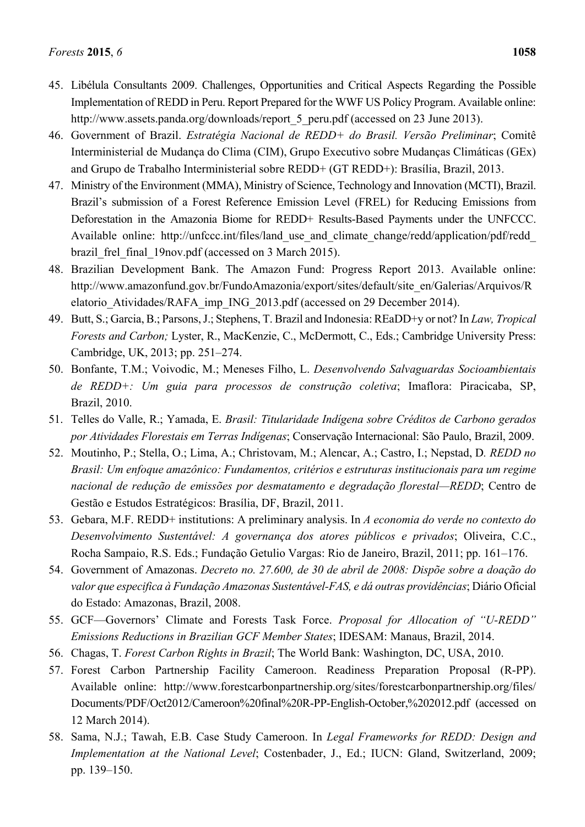- 45. Libélula Consultants 2009. Challenges, Opportunities and Critical Aspects Regarding the Possible Implementation of REDD in Peru. Report Prepared for the WWF US Policy Program. Available online: http://www.assets.panda.org/downloads/report\_5\_peru.pdf (accessed on 23 June 2013).
- 46. Government of Brazil. *Estratégia Nacional de REDD+ do Brasil. Versão Preliminar*; Comitê Interministerial de Mudança do Clima (CIM), Grupo Executivo sobre Mudanças Climáticas (GEx) and Grupo de Trabalho Interministerial sobre REDD+ (GT REDD+): Brasília, Brazil, 2013.
- 47. Ministry of the Environment (MMA), Ministry of Science, Technology and Innovation (MCTI), Brazil. Brazil's submission of a Forest Reference Emission Level (FREL) for Reducing Emissions from Deforestation in the Amazonia Biome for REDD+ Results-Based Payments under the UNFCCC. Available online: http://unfccc.int/files/land\_use\_and\_climate\_change/redd/application/pdf/redd\_ brazil frel final 19nov.pdf (accessed on 3 March 2015).
- 48. Brazilian Development Bank. The Amazon Fund: Progress Report 2013. Available online: http://www.amazonfund.gov.br/FundoAmazonia/export/sites/default/site\_en/Galerias/Arquivos/R elatorio\_Atividades/RAFA\_imp\_ING\_2013.pdf (accessed on 29 December 2014).
- 49. Butt, S.; Garcia, B.; Parsons, J.; Stephens, T. Brazil and Indonesia: REaDD+y or not? In *Law, Tropical Forests and Carbon;* Lyster, R., MacKenzie, C., McDermott, C., Eds.; Cambridge University Press: Cambridge, UK, 2013; pp. 251–274.
- 50. Bonfante, T.M.; Voivodic, M.; Meneses Filho, L. *Desenvolvendo Salvaguardas Socioambientais de REDD+: Um guia para processos de construção coletiva*; Imaflora: Piracicaba, SP, Brazil, 2010.
- 51. Telles do Valle, R.; Yamada, E. *Brasil: Titularidade Indígena sobre Créditos de Carbono gerados por Atividades Florestais em Terras Indígenas*; Conservação Internacional: São Paulo, Brazil, 2009.
- 52. Moutinho, P.; Stella, O.; Lima, A.; Christovam, M.; Alencar, A.; Castro, I.; Nepstad, D*. REDD no Brasil: Um enfoque amazônico: Fundamentos, critérios e estruturas institucionais para um regime nacional de redução de emissões por desmatamento e degradação florestal—REDD*; Centro de Gestão e Estudos Estratégicos: Brasília, DF, Brazil, 2011.
- 53. Gebara, M.F. REDD+ institutions: A preliminary analysis. In *A economia do verde no contexto do Desenvolvimento Sustentável: A governança dos atores públicos e privados*; Oliveira, C.C., Rocha Sampaio, R.S. Eds.; Fundação Getulio Vargas: Rio de Janeiro, Brazil, 2011; pp. 161–176.
- 54. Government of Amazonas. *Decreto no. 27.600, de 30 de abril de 2008: Dispõe sobre a doação do valor que especifica à Fundação Amazonas Sustentável-FAS, e dá outras providências*; Diário Oficial do Estado: Amazonas, Brazil, 2008.
- 55. GCF—Governors' Climate and Forests Task Force. *Proposal for Allocation of "U-REDD" Emissions Reductions in Brazilian GCF Member States*; IDESAM: Manaus, Brazil, 2014.
- 56. Chagas, T. *Forest Carbon Rights in Brazil*; The World Bank: Washington, DC, USA, 2010.
- 57. Forest Carbon Partnership Facility Cameroon. Readiness Preparation Proposal (R-PP). Available online: http://www.forestcarbonpartnership.org/sites/forestcarbonpartnership.org/files/ Documents/PDF/Oct2012/Cameroon%20final%20R-PP-English-October,%202012.pdf (accessed on 12 March 2014).
- 58. Sama, N.J.; Tawah, E.B. Case Study Cameroon. In *Legal Frameworks for REDD: Design and Implementation at the National Level*; Costenbader, J., Ed.; IUCN: Gland, Switzerland, 2009; pp. 139–150.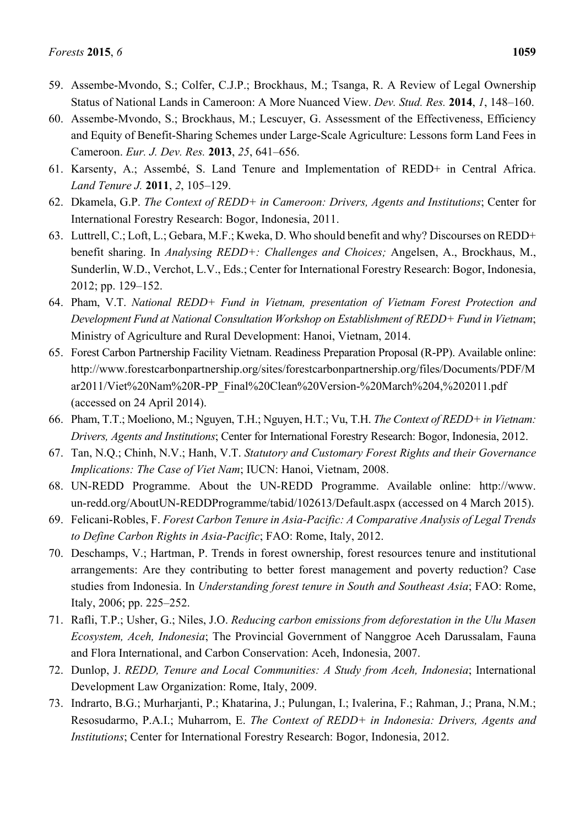- 59. Assembe-Mvondo, S.; Colfer, C.J.P.; Brockhaus, M.; Tsanga, R. A Review of Legal Ownership Status of National Lands in Cameroon: A More Nuanced View. *Dev. Stud. Res.* **2014**, *1*, 148–160.
- 60. Assembe-Mvondo, S.; Brockhaus, M.; Lescuyer, G. Assessment of the Effectiveness, Efficiency and Equity of Benefit-Sharing Schemes under Large-Scale Agriculture: Lessons form Land Fees in Cameroon. *Eur. J. Dev. Res.* **2013**, *25*, 641–656.
- 61. Karsenty, A.; Assembé, S. Land Tenure and Implementation of REDD+ in Central Africa. *Land Tenure J.* **2011**, *2*, 105–129.
- 62. Dkamela, G.P. *The Context of REDD+ in Cameroon: Drivers, Agents and Institutions*; Center for International Forestry Research: Bogor, Indonesia, 2011.
- 63. Luttrell, C.; Loft, L.; Gebara, M.F.; Kweka, D. Who should benefit and why? Discourses on REDD+ benefit sharing. In *Analysing REDD+: Challenges and Choices;* Angelsen, A., Brockhaus, M., Sunderlin, W.D., Verchot, L.V., Eds.; Center for International Forestry Research: Bogor, Indonesia, 2012; pp. 129–152.
- 64. Pham, V.T. *National REDD+ Fund in Vietnam, presentation of Vietnam Forest Protection and Development Fund at National Consultation Workshop on Establishment of REDD+ Fund in Vietnam*; Ministry of Agriculture and Rural Development: Hanoi, Vietnam, 2014.
- 65. Forest Carbon Partnership Facility Vietnam. Readiness Preparation Proposal (R-PP). Available online: http://www.forestcarbonpartnership.org/sites/forestcarbonpartnership.org/files/Documents/PDF/M ar2011/Viet%20Nam%20R-PP\_Final%20Clean%20Version-%20March%204,%202011.pdf (accessed on 24 April 2014).
- 66. Pham, T.T.; Moeliono, M.; Nguyen, T.H.; Nguyen, H.T.; Vu, T.H. *The Context of REDD+ in Vietnam: Drivers, Agents and Institutions*; Center for International Forestry Research: Bogor, Indonesia, 2012.
- 67. Tan, N.Q.; Chinh, N.V.; Hanh, V.T. *Statutory and Customary Forest Rights and their Governance Implications: The Case of Viet Nam*; IUCN: Hanoi, Vietnam, 2008.
- 68. UN-REDD Programme. About the UN-REDD Programme. Available online: http://www. un-redd.org/AboutUN-REDDProgramme/tabid/102613/Default.aspx (accessed on 4 March 2015).
- 69. Felicani-Robles, F. *Forest Carbon Tenure in Asia-Pacific: A Comparative Analysis of Legal Trends to Define Carbon Rights in Asia-Pacific*; FAO: Rome, Italy, 2012.
- 70. Deschamps, V.; Hartman, P. Trends in forest ownership, forest resources tenure and institutional arrangements: Are they contributing to better forest management and poverty reduction? Case studies from Indonesia. In *Understanding forest tenure in South and Southeast Asia*; FAO: Rome, Italy, 2006; pp. 225–252.
- 71. Rafli, T.P.; Usher, G.; Niles, J.O. *Reducing carbon emissions from deforestation in the Ulu Masen Ecosystem, Aceh, Indonesia*; The Provincial Government of Nanggroe Aceh Darussalam, Fauna and Flora International, and Carbon Conservation: Aceh, Indonesia, 2007.
- 72. Dunlop, J. *REDD, Tenure and Local Communities: A Study from Aceh, Indonesia*; International Development Law Organization: Rome, Italy, 2009.
- 73. Indrarto, B.G.; Murharjanti, P.; Khatarina, J.; Pulungan, I.; Ivalerina, F.; Rahman, J.; Prana, N.M.; Resosudarmo, P.A.I.; Muharrom, E. *The Context of REDD+ in Indonesia: Drivers, Agents and Institutions*; Center for International Forestry Research: Bogor, Indonesia, 2012.